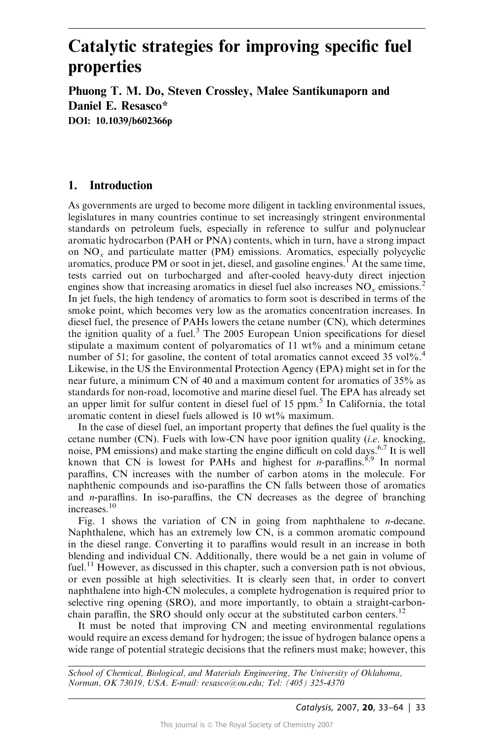# Catalytic strategies for improving specific fuel properties

Phuong T. M. Do, Steven Crossley, Malee Santikunaporn and Daniel E. Resasco\* DOI: 10.1039/b602366p

## 1. Introduction

As governments are urged to become more diligent in tackling environmental issues, legislatures in many countries continue to set increasingly stringent environmental standards on petroleum fuels, especially in reference to sulfur and polynuclear aromatic hydrocarbon (PAH or PNA) contents, which in turn, have a strong impact on  $NO<sub>x</sub>$  and particulate matter (PM) emissions. Aromatics, especially polycyclic aromatics, produce PM or soot in jet, diesel, and gasoline engines.<sup>1</sup> At the same time, tests carried out on turbocharged and after-cooled heavy-duty direct injection engines show that increasing aromatics in diesel fuel also increases  $NO<sub>x</sub>$  emissions.<sup>2</sup> In jet fuels, the high tendency of aromatics to form soot is described in terms of the smoke point, which becomes very low as the aromatics concentration increases. In diesel fuel, the presence of PAHs lowers the cetane number (CN), which determines the ignition quality of a fuel.<sup>3</sup> The 2005 European Union specifications for diesel stipulate a maximum content of polyaromatics of 11 wt% and a minimum cetane number of 51; for gasoline, the content of total aromatics cannot exceed 35 vol $\frac{9}{6}$ .<sup>4</sup> Likewise, in the US the Environmental Protection Agency (EPA) might set in for the near future, a minimum CN of 40 and a maximum content for aromatics of 35% as standards for non-road, locomotive and marine diesel fuel. The EPA has already set an upper limit for sulfur content in diesel fuel of  $15$  ppm.<sup>5</sup> In California, the total aromatic content in diesel fuels allowed is 10 wt% maximum.

In the case of diesel fuel, an important property that defines the fuel quality is the cetane number (CN). Fuels with low-CN have poor ignition quality (*i.e.* knocking, noise, PM emissions) and make starting the engine difficult on cold days.<sup>6,7</sup> It is well known that CN is lowest for PAHs and highest for *n*-paraffins.<sup>8,9</sup> In normal paraffins, CN increases with the number of carbon atoms in the molecule. For naphthenic compounds and iso-paraffins the CN falls between those of aromatics and n-paraffins. In iso-paraffins, the CN decreases as the degree of branching increases.<sup>10</sup>

Fig. 1 shows the variation of CN in going from naphthalene to *n*-decane. Naphthalene, which has an extremely low CN, is a common aromatic compound in the diesel range. Converting it to paraffins would result in an increase in both blending and individual CN. Additionally, there would be a net gain in volume of fuel.<sup>11</sup> However, as discussed in this chapter, such a conversion path is not obvious, or even possible at high selectivities. It is clearly seen that, in order to convert naphthalene into high-CN molecules, a complete hydrogenation is required prior to selective ring opening (SRO), and more importantly, to obtain a straight-carbonchain paraffin, the SRO should only occur at the substituted carbon centers.<sup>12</sup>

It must be noted that improving CN and meeting environmental regulations would require an excess demand for hydrogen; the issue of hydrogen balance opens a wide range of potential strategic decisions that the refiners must make; however, this

School of Chemical, Biological, and Materials Engineering, The University of Oklahoma, Norman, OK 73019, USA. E-mail: resasco@ou.edu; Tel: (405) 325-4370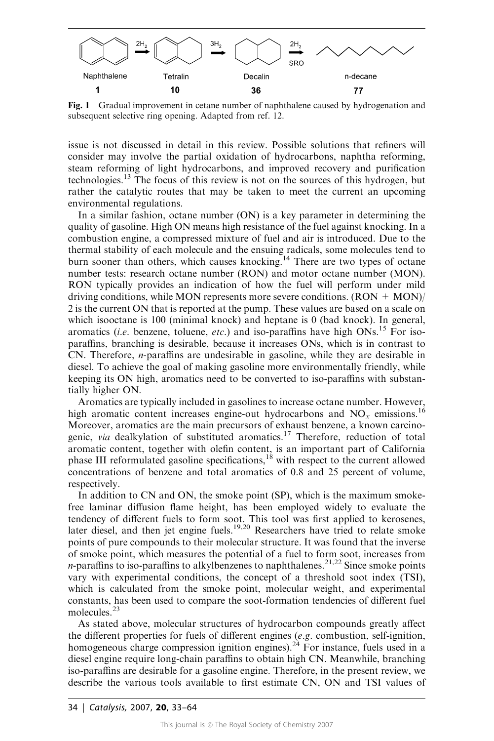

Fig. 1 Gradual improvement in cetane number of naphthalene caused by hydrogenation and subsequent selective ring opening. Adapted from ref. 12.

issue is not discussed in detail in this review. Possible solutions that refiners will consider may involve the partial oxidation of hydrocarbons, naphtha reforming, steam reforming of light hydrocarbons, and improved recovery and purification technologies.<sup>13</sup> The focus of this review is not on the sources of this hydrogen, but rather the catalytic routes that may be taken to meet the current an upcoming environmental regulations.

In a similar fashion, octane number (ON) is a key parameter in determining the quality of gasoline. High ON means high resistance of the fuel against knocking. In a combustion engine, a compressed mixture of fuel and air is introduced. Due to the thermal stability of each molecule and the ensuing radicals, some molecules tend to burn sooner than others, which causes knocking.<sup>14</sup> There are two types of octane number tests: research octane number (RON) and motor octane number (MON). RON typically provides an indication of how the fuel will perform under mild driving conditions, while MON represents more severe conditions.  $(RON + MON)/$ 2 is the current ON that is reported at the pump. These values are based on a scale on which isooctane is 100 (minimal knock) and heptane is 0 (bad knock). In general, aromatics (*i.e.* benzene, toluene, *etc.*) and iso-paraffins have high ONs.<sup>15</sup> For isoparaffins, branching is desirable, because it increases ONs, which is in contrast to CN. Therefore, n-paraffins are undesirable in gasoline, while they are desirable in diesel. To achieve the goal of making gasoline more environmentally friendly, while keeping its ON high, aromatics need to be converted to iso-paraffins with substantially higher ON.

Aromatics are typically included in gasolines to increase octane number. However, high aromatic content increases engine-out hydrocarbons and  $NO<sub>x</sub>$  emissions.<sup>16</sup> Moreover, aromatics are the main precursors of exhaust benzene, a known carcinogenic, via dealkylation of substituted aromatics.<sup>17</sup> Therefore, reduction of total aromatic content, together with olefin content, is an important part of California phase III reformulated gasoline specifications,<sup>18</sup> with respect to the current allowed concentrations of benzene and total aromatics of 0.8 and 25 percent of volume, respectively.

In addition to CN and ON, the smoke point (SP), which is the maximum smokefree laminar diffusion flame height, has been employed widely to evaluate the tendency of different fuels to form soot. This tool was first applied to kerosenes, later diesel, and then jet engine fuels.<sup>19,20</sup> Researchers have tried to relate smoke points of pure compounds to their molecular structure. It was found that the inverse of smoke point, which measures the potential of a fuel to form soot, increases from  $n$ -paraffins to iso-paraffins to alkylbenzenes to naphthalenes.<sup>21,22</sup> Since smoke points vary with experimental conditions, the concept of a threshold soot index (TSI), which is calculated from the smoke point, molecular weight, and experimental constants, has been used to compare the soot-formation tendencies of different fuel molecules.<sup>23</sup>

As stated above, molecular structures of hydrocarbon compounds greatly affect the different properties for fuels of different engines (e.g. combustion, self-ignition, homogeneous charge compression ignition engines).<sup>24</sup> For instance, fuels used in a diesel engine require long-chain paraffins to obtain high CN. Meanwhile, branching iso-paraffins are desirable for a gasoline engine. Therefore, in the present review, we describe the various tools available to first estimate CN, ON and TSI values of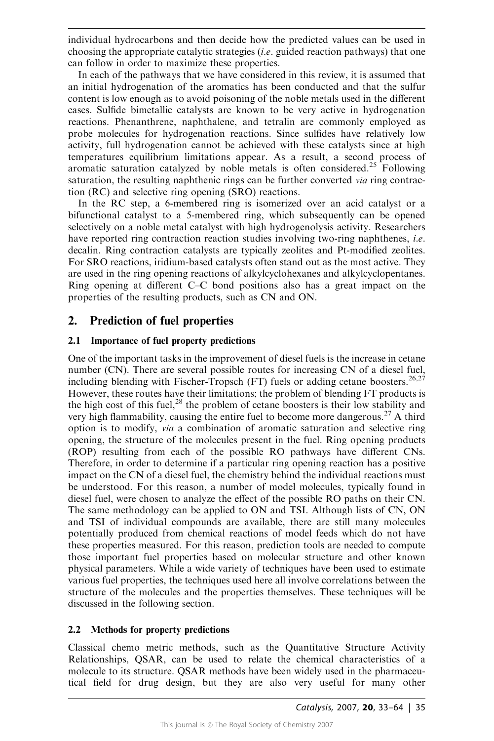individual hydrocarbons and then decide how the predicted values can be used in choosing the appropriate catalytic strategies (i.e. guided reaction pathways) that one can follow in order to maximize these properties.

In each of the pathways that we have considered in this review, it is assumed that an initial hydrogenation of the aromatics has been conducted and that the sulfur content is low enough as to avoid poisoning of the noble metals used in the different cases. Sulfide bimetallic catalysts are known to be very active in hydrogenation reactions. Phenanthrene, naphthalene, and tetralin are commonly employed as probe molecules for hydrogenation reactions. Since sulfides have relatively low activity, full hydrogenation cannot be achieved with these catalysts since at high temperatures equilibrium limitations appear. As a result, a second process of aromatic saturation catalyzed by noble metals is often considered.<sup>25</sup> Following saturation, the resulting naphthenic rings can be further converted via ring contraction (RC) and selective ring opening (SRO) reactions.

In the RC step, a 6-membered ring is isomerized over an acid catalyst or a bifunctional catalyst to a 5-membered ring, which subsequently can be opened selectively on a noble metal catalyst with high hydrogenolysis activity. Researchers have reported ring contraction reaction studies involving two-ring naphthenes, *i.e.* decalin. Ring contraction catalysts are typically zeolites and Pt-modified zeolites. For SRO reactions, iridium-based catalysts often stand out as the most active. They are used in the ring opening reactions of alkylcyclohexanes and alkylcyclopentanes. Ring opening at different C–C bond positions also has a great impact on the properties of the resulting products, such as CN and ON.

## 2. Prediction of fuel properties

#### 2.1 Importance of fuel property predictions

One of the important tasks in the improvement of diesel fuels is the increase in cetane number (CN). There are several possible routes for increasing CN of a diesel fuel, including blending with Fischer-Tropsch (FT) fuels or adding cetane boosters.<sup>26,27</sup> However, these routes have their limitations; the problem of blending FT products is the high cost of this fuel, $^{28}$  the problem of cetane boosters is their low stability and very high flammability, causing the entire fuel to become more dangerous.<sup>27</sup> A third option is to modify, via a combination of aromatic saturation and selective ring opening, the structure of the molecules present in the fuel. Ring opening products (ROP) resulting from each of the possible RO pathways have different CNs. Therefore, in order to determine if a particular ring opening reaction has a positive impact on the CN of a diesel fuel, the chemistry behind the individual reactions must be understood. For this reason, a number of model molecules, typically found in diesel fuel, were chosen to analyze the effect of the possible RO paths on their CN. The same methodology can be applied to ON and TSI. Although lists of CN, ON and TSI of individual compounds are available, there are still many molecules potentially produced from chemical reactions of model feeds which do not have these properties measured. For this reason, prediction tools are needed to compute those important fuel properties based on molecular structure and other known physical parameters. While a wide variety of techniques have been used to estimate various fuel properties, the techniques used here all involve correlations between the structure of the molecules and the properties themselves. These techniques will be discussed in the following section.

#### 2.2 Methods for property predictions

Classical chemo metric methods, such as the Quantitative Structure Activity Relationships, QSAR, can be used to relate the chemical characteristics of a molecule to its structure. QSAR methods have been widely used in the pharmaceutical field for drug design, but they are also very useful for many other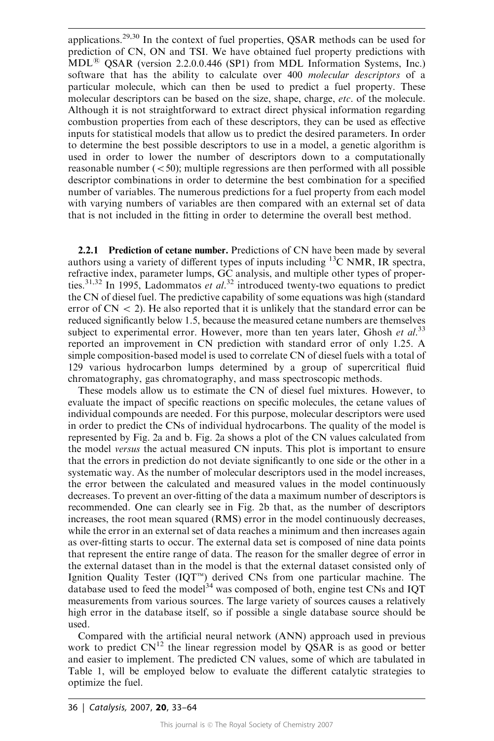applications.29,30 In the context of fuel properties, QSAR methods can be used for prediction of CN, ON and TSI. We have obtained fuel property predictions with  $MDL<sup>®</sup>$  QSAR (version 2.2.0.0.446 (SP1) from MDL Information Systems, Inc.) software that has the ability to calculate over 400 molecular descriptors of a particular molecule, which can then be used to predict a fuel property. These molecular descriptors can be based on the size, shape, charge, etc. of the molecule. Although it is not straightforward to extract direct physical information regarding combustion properties from each of these descriptors, they can be used as effective inputs for statistical models that allow us to predict the desired parameters. In order to determine the best possible descriptors to use in a model, a genetic algorithm is used in order to lower the number of descriptors down to a computationally reasonable number  $( $50$ ); multiple regressions are then performed with all possible$ descriptor combinations in order to determine the best combination for a specified number of variables. The numerous predictions for a fuel property from each model with varying numbers of variables are then compared with an external set of data that is not included in the fitting in order to determine the overall best method.

2.2.1 Prediction of cetane number. Predictions of CN have been made by several authors using a variety of different types of inputs including 13C NMR, IR spectra, refractive index, parameter lumps, GC analysis, and multiple other types of properties.<sup>31,32</sup> In 1995, Ladommatos et al.<sup>32</sup> introduced twenty-two equations to predict the CN of diesel fuel. The predictive capability of some equations was high (standard error of  $CN < 2$ ). He also reported that it is unlikely that the standard error can be reduced significantly below 1.5, because the measured cetane numbers are themselves subject to experimental error. However, more than ten years later, Ghosh et  $al$ .<sup>33</sup> reported an improvement in CN prediction with standard error of only 1.25. A simple composition-based model is used to correlate CN of diesel fuels with a total of 129 various hydrocarbon lumps determined by a group of supercritical fluid chromatography, gas chromatography, and mass spectroscopic methods.

These models allow us to estimate the CN of diesel fuel mixtures. However, to evaluate the impact of specific reactions on specific molecules, the cetane values of individual compounds are needed. For this purpose, molecular descriptors were used in order to predict the CNs of individual hydrocarbons. The quality of the model is represented by Fig. 2a and b. Fig. 2a shows a plot of the CN values calculated from the model versus the actual measured CN inputs. This plot is important to ensure that the errors in prediction do not deviate significantly to one side or the other in a systematic way. As the number of molecular descriptors used in the model increases, the error between the calculated and measured values in the model continuously decreases. To prevent an over-fitting of the data a maximum number of descriptors is recommended. One can clearly see in Fig. 2b that, as the number of descriptors increases, the root mean squared (RMS) error in the model continuously decreases, while the error in an external set of data reaches a minimum and then increases again as over-fitting starts to occur. The external data set is composed of nine data points that represent the entire range of data. The reason for the smaller degree of error in the external dataset than in the model is that the external dataset consisted only of Ignition Quality Tester (IQT<sup>IM</sup>) derived CNs from one particular machine. The database used to feed the model<sup>34</sup> was composed of both, engine test CNs and IQT measurements from various sources. The large variety of sources causes a relatively high error in the database itself, so if possible a single database source should be used.

Compared with the artificial neural network (ANN) approach used in previous work to predict  $CN^{12}$  the linear regression model by QSAR is as good or better and easier to implement. The predicted CN values, some of which are tabulated in Table 1, will be employed below to evaluate the different catalytic strategies to optimize the fuel.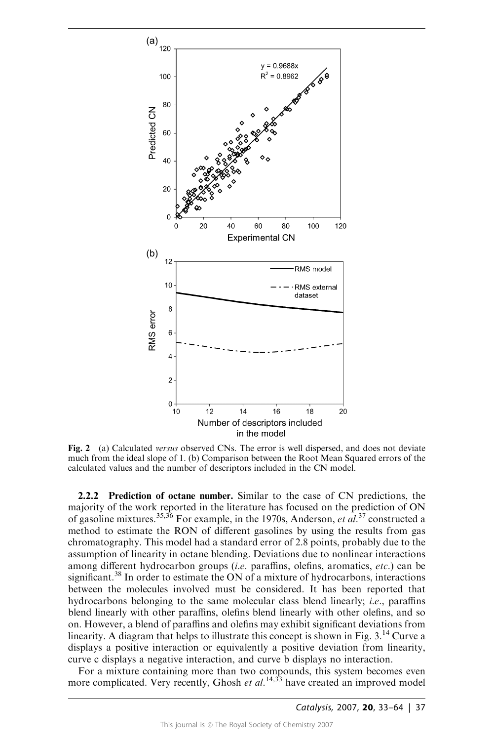

Fig. 2 (a) Calculated versus observed CNs. The error is well dispersed, and does not deviate much from the ideal slope of 1. (b) Comparison between the Root Mean Squared errors of the calculated values and the number of descriptors included in the CN model.

2.2.2 Prediction of octane number. Similar to the case of CN predictions, the majority of the work reported in the literature has focused on the prediction of ON of gasoline mixtures.<sup>35,36</sup> For example, in the 1970s, Anderson, et al.<sup>37</sup> constructed a method to estimate the RON of different gasolines by using the results from gas chromatography. This model had a standard error of 2.8 points, probably due to the assumption of linearity in octane blending. Deviations due to nonlinear interactions among different hydrocarbon groups (i.e. paraffins, olefins, aromatics, etc.) can be significant.<sup>38</sup> In order to estimate the ON of a mixture of hydrocarbons, interactions between the molecules involved must be considered. It has been reported that hydrocarbons belonging to the same molecular class blend linearly; i.e., paraffins blend linearly with other paraffins, olefins blend linearly with other olefins, and so on. However, a blend of paraffins and olefins may exhibit significant deviations from linearity. A diagram that helps to illustrate this concept is shown in Fig.  $3.^{14}$  Curve a displays a positive interaction or equivalently a positive deviation from linearity, curve c displays a negative interaction, and curve b displays no interaction.

For a mixture containing more than two compounds, this system becomes even more complicated. Very recently, Ghosh et  $al$ .<sup>14,33</sup> have created an improved model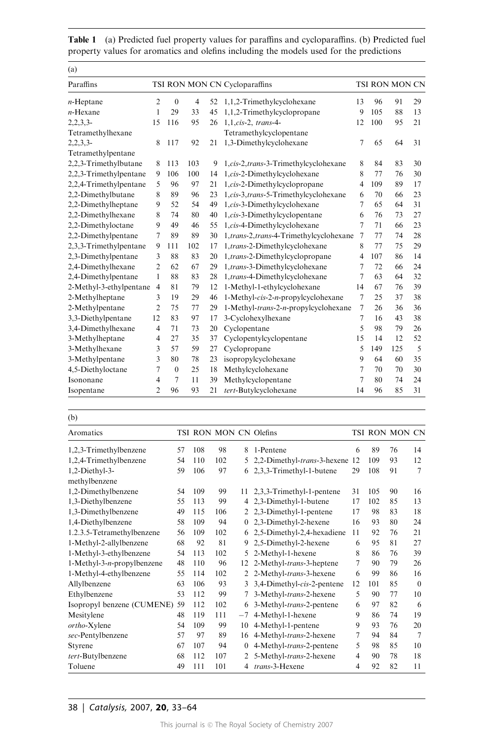Table 1 (a) Predicted fuel property values for paraffins and cycloparaffins. (b) Predicted fuel property values for aromatics and olefins including the models used for the predictions

| (a)                     |                |                  |     |    |                                        |                |     |                |    |
|-------------------------|----------------|------------------|-----|----|----------------------------------------|----------------|-----|----------------|----|
| Paraffins               |                |                  |     |    | TSI RON MON CN Cycloparaffins          |                |     | TSI RON MON CN |    |
| $n$ -Heptane            | $\overline{c}$ | $\theta$         | 4   | 52 | 1,1,2-Trimethylcyclohexane             | 13             | 96  | 91             | 29 |
| $n$ -Hexane             | 1              | 29               | 33  | 45 | 1,1,2-Trimethylcyclopropane            | 9              | 105 | 88             | 13 |
| $2.2.3.3-$              | 15             | 116              | 95  | 26 | 1,1,cis-2, trans-4-                    | 12             | 100 | 95             | 21 |
| Tetramethylhexane       |                |                  |     |    | Tetramethylcyclopentane                |                |     |                |    |
| 2, 2, 3, 3              | 8              | 117              | 92  | 21 | 1,3-Dimethylcyclohexane                | 7              | 65  | 64             | 31 |
| Tetramethylpentane      |                |                  |     |    |                                        |                |     |                |    |
| 2,2,3-Trimethylbutane   | 8              | 113              | 103 | 9  | 1,cis-2,trans-3-Trimethylcyclohexane   | 8              | 84  | 83             | 30 |
| 2,2,3-Trimethylpentane  | 9              | 106              | 100 | 14 | 1,cis-2-Dimethylcyclohexane            | 8              | 77  | 76             | 30 |
| 2,2,4-Trimethylpentane  | 5              | 96               | 97  | 21 | 1,cis-2-Dimethylcyclopropane           | $\overline{4}$ | 109 | 89             | 17 |
| 2,2-Dimethylbutane      | 8              | 89               | 96  | 23 | 1,cis-3,trans-5-Trimethylcyclohexane   | 6              | 70  | 66             | 23 |
| 2,2-Dimethylheptane     | 9              | 52               | 54  | 49 | 1,cis-3-Dimethylcyclohexane            | 7              | 65  | 64             | 31 |
| 2,2-Dimethylhexane      | 8              | 74               | 80  | 40 | 1,cis-3-Dimethylcyclopentane           | 6              | 76  | 73             | 27 |
| 2,2-Dimethyloctane      | 9              | 49               | 46  | 55 | 1,cis-4-Dimethylcyclohexane            | 7              | 71  | 66             | 23 |
| 2,2-Dimethylpentane     | 7              | 89               | 89  | 30 | 1,trans-2,trans-4-Trimethylcyclohexane | 7              | 77  | 74             | 28 |
| 2,3,3-Trimethylpentane  | 9              | 111              | 102 | 17 | 1,trans-2-Dimethylcyclohexane          | 8              | 77  | 75             | 29 |
| 2,3-Dimethylpentane     | 3              | 88               | 83  | 20 | 1,trans-2-Dimethylcyclopropane         | $\overline{4}$ | 107 | 86             | 14 |
| 2,4-Dimethylhexane      | $\overline{c}$ | 62               | 67  | 29 | 1,trans-3-Dimethylcyclohexane          | 7              | 72  | 66             | 24 |
| 2,4-Dimethylpentane     | 1              | 88               | 83  | 28 | 1,trans-4-Dimethylcyclohexane          | 7              | 63  | 64             | 32 |
| 2-Methyl-3-ethylpentane | $\overline{4}$ | 81               | 79  | 12 | 1-Methyl-1-ethylcyclohexane            | 14             | 67  | 76             | 39 |
| 2-Methylheptane         | 3              | 19               | 29  | 46 | $1-Methyl-cis-2-n-propyleyclohexane$   | 7              | 25  | 37             | 38 |
| 2-Methylpentane         | 2              | 75               | 77  | 29 | 1-Methyl-trans-2-n-propylcyclohexane   | 7              | 26  | 36             | 36 |
| 3,3-Diethylpentane      | 12             | 83               | 97  | 17 | 3-Cyclohexylhexane                     | 7              | 16  | 43             | 38 |
| 3,4-Dimethylhexane      | $\overline{4}$ | 71               | 73  | 20 | Cyclopentane                           | 5              | 98  | 79             | 26 |
| 3-Methylheptane         | $\overline{4}$ | 27               | 35  | 37 | Cyclopentylcyclopentane                | 15             | 14  | 12             | 52 |
| 3-Methylhexane          | 3              | 57               | 59  | 27 | Cyclopropane                           | 5              | 149 | 125            | 5  |
| 3-Methylpentane         | 3              | 80               | 78  | 23 | isopropylcyclohexane                   | 9              | 64  | 60             | 35 |
| 4,5-Diethyloctane       | 7              | $\boldsymbol{0}$ | 25  | 18 | Methylcyclohexane                      | 7              | 70  | 70             | 30 |
| Isononane               | $\overline{4}$ | $\overline{7}$   | 11  | 39 | Methylcyclopentane                     | 7              | 80  | 74             | 24 |
| Isopentane              | $\mathfrak{D}$ | 96               | 93  | 21 | tert-Butylcyclohexane                  | 14             | 96  | 85             | 31 |

| (b)                             |    |     |     |              |                                |                |     |                |                |
|---------------------------------|----|-----|-----|--------------|--------------------------------|----------------|-----|----------------|----------------|
| Aromatics                       |    |     |     |              | TSI RON MON CN Olefins         |                |     | TSI RON MON CN |                |
| 1,2,3-Trimethylbenzene          | 57 | 108 | 98  | 8            | 1-Pentene                      | 6              | 89  | 76             | 14             |
| 1,2,4-Trimethylbenzene          | 54 | 110 | 102 | 5            | 2,2-Dimethyl-trans-3-hexene 12 |                | 109 | 93             | 12             |
| 1,2-Diethyl-3-<br>methylbenzene | 59 | 106 | 97  | 6            | 2,3,3-Trimethyl-1-butene       | 29             | 108 | 91             | 7              |
| 1,2-Dimethylbenzene             | 54 | 109 | 99  | 11           | 2,3,3-Trimethyl-1-pentene      | 31             | 105 | 90             | 16             |
| 1,3-Diethylbenzene              | 55 | 113 | 99  | 4            | 2,3-Dimethyl-1-butene          | 17             | 102 | 85             | 13             |
| 1,3-Dimethylbenzene             | 49 | 115 | 106 | 2            | 2,3-Dimethyl-1-pentene         | 17             | 98  | 83             | 18             |
| 1,4-Diethylbenzene              | 58 | 109 | 94  | $\mathbf{0}$ | 2,3-Dimethyl-2-hexene          | 16             | 93  | 80             | 24             |
| 1.2.3.5-Tetramethylbenzene      | 56 | 109 | 102 | 6            | 2,5-Dimethyl-2,4-hexadiene     | 11             | 92  | 76             | 21             |
| 1-Methyl-2-allylbenzene         | 68 | 92  | 81  | 9            | 2,5-Dimethyl-2-hexene          | 6              | 95  | 81             | 27             |
| 1-Methyl-3-ethylbenzene         | 54 | 113 | 102 | 5            | 2-Methyl-1-hexene              | 8              | 86  | 76             | 39             |
| $1-Methyl-3-n-propylbenzene$    | 48 | 110 | 96  | 12           | 2-Methyl-trans-3-heptene       | 7              | 90  | 79             | 26             |
| 1-Methyl-4-ethylbenzene         | 55 | 114 | 102 | 2            | 2-Methyl-trans-3-hexene        | 6              | 99  | 86             | 16             |
| Allylbenzene                    | 63 | 106 | 93  | 3            | 3,4-Dimethyl-cis-2-pentene     | 12             | 101 | 85             | $\mathbf{0}$   |
| Ethylbenzene                    | 53 | 112 | 99  | 7            | 3-Methyl-trans-2-hexene        | 5              | 90  | 77             | 10             |
| Isopropyl benzene (CUMENE)      | 59 | 112 | 102 | 6            | 3-Methyl-trans-2-pentene       | 6              | 97  | 82             | 6              |
| Mesitylene                      | 48 | 119 | 111 | $-7$         | 4-Methyl-1-hexene              | 9              | 86  | 74             | 19             |
| ortho-Xylene                    | 54 | 109 | 99  | 10           | 4-Methyl-1-pentene             | 9              | 93  | 76             | 20             |
| sec-Pentylbenzene               | 57 | 97  | 89  | 16           | 4-Methyl-trans-2-hexene        | 7              | 94  | 84             | $\overline{7}$ |
| Styrene                         | 67 | 107 | 94  | $\mathbf{0}$ | 4-Methyl-trans-2-pentene       | 5              | 98  | 85             | 10             |
| tert-Butylbenzene               | 68 | 112 | 107 | 2            | 5-Methyl-trans-2-hexene        | $\overline{4}$ | 90  | 78             | 18             |
| Toluene                         | 49 | 111 | 101 | 4            | trans-3-Hexene                 | 4              | 92  | 82             | 11             |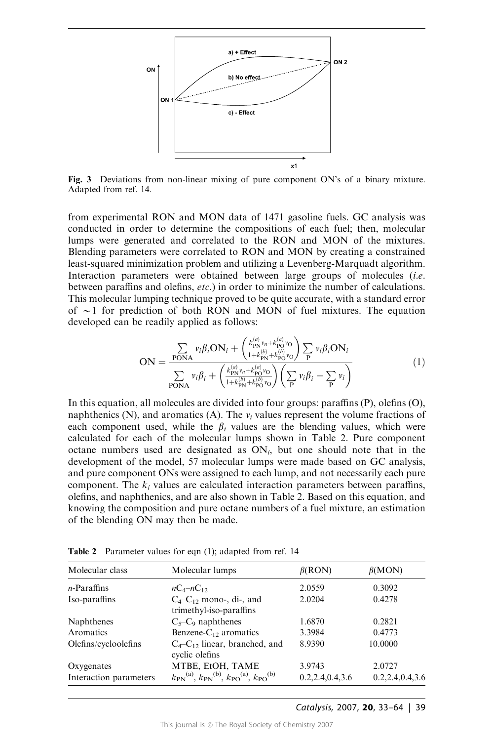

Fig. 3 Deviations from non-linear mixing of pure component ON's of a binary mixture. Adapted from ref. 14.

from experimental RON and MON data of 1471 gasoline fuels. GC analysis was conducted in order to determine the compositions of each fuel; then, molecular lumps were generated and correlated to the RON and MON of the mixtures. Blending parameters were correlated to RON and MON by creating a constrained least-squared minimization problem and utilizing a Levenberg-Marquadt algorithm. Interaction parameters were obtained between large groups of molecules *(i.e.*) between paraffins and olefins, etc.) in order to minimize the number of calculations. This molecular lumping technique proved to be quite accurate, with a standard error of  $\sim$ 1 for prediction of both RON and MON of fuel mixtures. The equation developed can be readily applied as follows:

$$
ON = \frac{\sum_{\text{PONA}} v_i \beta_i ON_i + \left(\frac{k_{\text{PN}}^{(a)} v_n + k_{\text{PO}}^{(a)} v_0}{1 + k_{\text{PN}}^{(b)} + k_{\text{PO}}^{(b)} v_0}\right) \sum_{\text{P}} v_i \beta_i ON_i}{\sum_{\text{PONA}} v_i \beta_i + \left(\frac{k_{\text{PN}}^{(a)} v_n + k_{\text{PO}}^{(b)} v_0}{1 + k_{\text{PN}}^{(b)} + k_{\text{PO}}^{(b)} v_0}\right) \left(\sum_{\text{P}} v_i \beta_i - \sum_{\text{P}} v_i\right)} (1)
$$

In this equation, all molecules are divided into four groups: paraffins (P), olefins (O), naphthenics (N), and aromatics (A). The  $v_i$  values represent the volume fractions of each component used, while the  $\beta_i$  values are the blending values, which were calculated for each of the molecular lumps shown in Table 2. Pure component octane numbers used are designated as  $ON<sub>i</sub>$ , but one should note that in the development of the model, 57 molecular lumps were made based on GC analysis, and pure component ONs were assigned to each lump, and not necessarily each pure component. The  $k_i$  values are calculated interaction parameters between paraffins, olefins, and naphthenics, and are also shown in Table 2. Based on this equation, and knowing the composition and pure octane numbers of a fuel mixture, an estimation of the blending ON may then be made.

| Molecular class        | Molecular lumps                                                                   | $\beta(\text{RON})$ | $\beta(MON)$       |
|------------------------|-----------------------------------------------------------------------------------|---------------------|--------------------|
| $n$ -Paraffins         | $nC_{4}$ - $nC_{12}$                                                              | 2.0559              | 0.3092             |
| Iso-paraffins          | $C_4$ – $C_1$ , mono-, di-, and<br>trimethyl-iso-paraffins                        | 2.0204              | 0.4278             |
| Naphthenes             | $C5-C9$ naphthenes                                                                | 1.6870              | 0.2821             |
| Aromatics              | Benzene- $C_{12}$ aromatics                                                       | 3.3984              | 0.4773             |
| Olefins/cycloolefins   | $C_4$ – $C_1$ , linear, branched, and<br>cyclic olefins                           | 8.9390              | 10.0000            |
| Oxygenates             | MTBE, EtOH, TAME                                                                  | 3.9743              | 2.0727             |
| Interaction parameters | $k_{\rm PN}^{(a)}$ , $k_{\rm PN}^{(b)}$ , $k_{\rm PO}^{(a)}$ , $k_{\rm PO}^{(b)}$ | 0.2, 2.4, 0.4, 3.6  | 0.2, 2.4, 0.4, 3.6 |

Table 2 Parameter values for eqn (1); adapted from ref. 14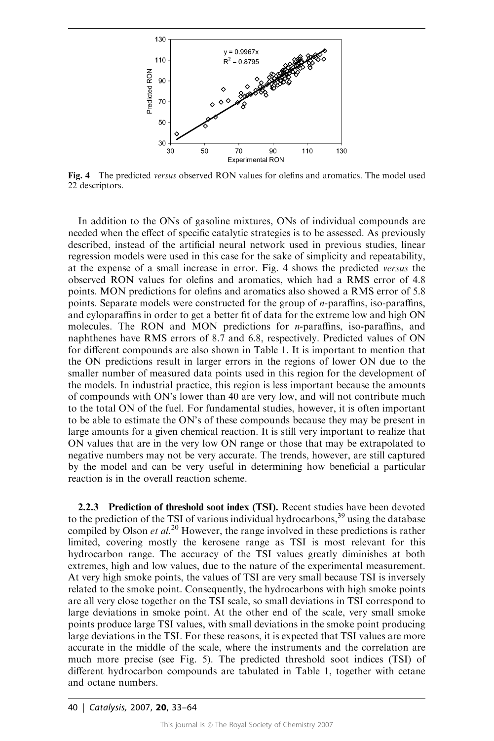

Fig. 4 The predicted versus observed RON values for olefins and aromatics. The model used 22 descriptors.

In addition to the ONs of gasoline mixtures, ONs of individual compounds are needed when the effect of specific catalytic strategies is to be assessed. As previously described, instead of the artificial neural network used in previous studies, linear regression models were used in this case for the sake of simplicity and repeatability, at the expense of a small increase in error. Fig. 4 shows the predicted versus the observed RON values for olefins and aromatics, which had a RMS error of 4.8 points. MON predictions for olefins and aromatics also showed a RMS error of 5.8 points. Separate models were constructed for the group of  $n$ -paraffins, iso-paraffins, and cyloparaffins in order to get a better fit of data for the extreme low and high ON molecules. The RON and MON predictions for n-paraffins, iso-paraffins, and naphthenes have RMS errors of 8.7 and 6.8, respectively. Predicted values of ON for different compounds are also shown in Table 1. It is important to mention that the ON predictions result in larger errors in the regions of lower ON due to the smaller number of measured data points used in this region for the development of the models. In industrial practice, this region is less important because the amounts of compounds with ON's lower than 40 are very low, and will not contribute much to the total ON of the fuel. For fundamental studies, however, it is often important to be able to estimate the ON's of these compounds because they may be present in large amounts for a given chemical reaction. It is still very important to realize that ON values that are in the very low ON range or those that may be extrapolated to negative numbers may not be very accurate. The trends, however, are still captured by the model and can be very useful in determining how beneficial a particular reaction is in the overall reaction scheme.

2.2.3 Prediction of threshold soot index (TSI). Recent studies have been devoted to the prediction of the TSI of various individual hydrocarbons,  $39$  using the database compiled by Olson et  $al$ <sup>20</sup> However, the range involved in these predictions is rather limited, covering mostly the kerosene range as TSI is most relevant for this hydrocarbon range. The accuracy of the TSI values greatly diminishes at both extremes, high and low values, due to the nature of the experimental measurement. At very high smoke points, the values of TSI are very small because TSI is inversely related to the smoke point. Consequently, the hydrocarbons with high smoke points are all very close together on the TSI scale, so small deviations in TSI correspond to large deviations in smoke point. At the other end of the scale, very small smoke points produce large TSI values, with small deviations in the smoke point producing large deviations in the TSI. For these reasons, it is expected that TSI values are more accurate in the middle of the scale, where the instruments and the correlation are much more precise (see Fig. 5). The predicted threshold soot indices (TSI) of different hydrocarbon compounds are tabulated in Table 1, together with cetane and octane numbers.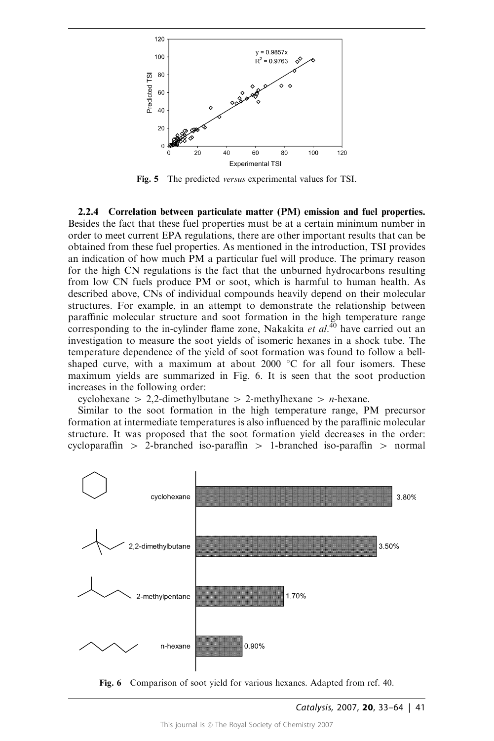

Fig. 5 The predicted versus experimental values for TSI.

2.2.4 Correlation between particulate matter (PM) emission and fuel properties. Besides the fact that these fuel properties must be at a certain minimum number in order to meet current EPA regulations, there are other important results that can be obtained from these fuel properties. As mentioned in the introduction, TSI provides an indication of how much PM a particular fuel will produce. The primary reason for the high CN regulations is the fact that the unburned hydrocarbons resulting from low CN fuels produce PM or soot, which is harmful to human health. As described above, CNs of individual compounds heavily depend on their molecular structures. For example, in an attempt to demonstrate the relationship between paraffinic molecular structure and soot formation in the high temperature range corresponding to the in-cylinder flame zone, Nakakita et  $al$ <sup>40</sup> have carried out an investigation to measure the soot yields of isomeric hexanes in a shock tube. The temperature dependence of the yield of soot formation was found to follow a bellshaped curve, with a maximum at about 2000  $^{\circ}$ C for all four isomers. These maximum yields are summarized in Fig. 6. It is seen that the soot production increases in the following order:

cyclohexane  $> 2.2$ -dimethylbutane  $> 2$ -methylhexane  $> n$ -hexane.

Similar to the soot formation in the high temperature range, PM precursor formation at intermediate temperatures is also influenced by the paraffinic molecular structure. It was proposed that the soot formation yield decreases in the order: cycloparaffin  $> 2$ -branched iso-paraffin  $> 1$ -branched iso-paraffin  $>$  normal



Fig. 6 Comparison of soot yield for various hexanes. Adapted from ref. 40.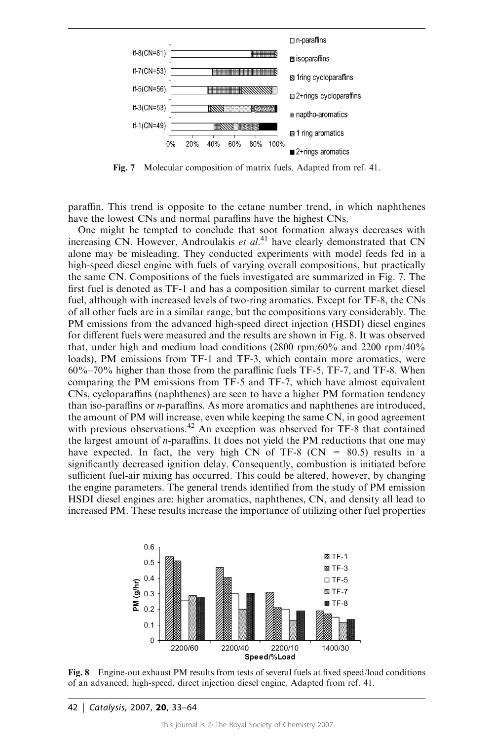

Fig. 7 Molecular composition of matrix fuels. Adapted from ref. 41.

paraffin. This trend is opposite to the cetane number trend, in which naphthenes have the lowest CNs and normal paraffins have the highest CNs.

One might be tempted to conclude that soot formation always decreases with increasing CN. However, Androulakis et  $al$ .<sup>41</sup> have clearly demonstrated that CN alone may be misleading. They conducted experiments with model feeds fed in a high-speed diesel engine with fuels of varying overall compositions, but practically the same CN. Compositions of the fuels investigated are summarized in Fig. 7. The first fuel is denoted as TF-1 and has a composition similar to current market diesel fuel, although with increased levels of two-ring aromatics. Except for TF-8, the CNs of all other fuels are in a similar range, but the compositions vary considerably. The PM emissions from the advanced high-speed direct injection (HSDI) diesel engines for different fuels were measured and the results are shown in Fig. 8. It was observed that, under high and medium load conditions (2800 rpm/60% and 2200 rpm/40% loads), PM emissions from TF-1 and TF-3, which contain more aromatics, were 60%–70% higher than those from the paraffinic fuels TF-5, TF-7, and TF-8. When comparing the PM emissions from TF-5 and TF-7, which have almost equivalent CNs, cycloparaffins (naphthenes) are seen to have a higher PM formation tendency than iso-paraffins or n-paraffins. As more aromatics and naphthenes are introduced, the amount of PM will increase, even while keeping the same CN, in good agreement with previous observations.<sup>42</sup> An exception was observed for  $TF-8$  that contained the largest amount of  $n$ -paraffins. It does not yield the PM reductions that one may have expected. In fact, the very high CN of TF-8 (CN  $= 80.5$ ) results in a significantly decreased ignition delay. Consequently, combustion is initiated before sufficient fuel-air mixing has occurred. This could be altered, however, by changing the engine parameters. The general trends identified from the study of PM emission HSDI diesel engines are: higher aromatics, naphthenes, CN, and density all lead to increased PM. These results increase the importance of utilizing other fuel properties



Fig. 8 Engine-out exhaust PM results from tests of several fuels at fixed speed/load conditions of an advanced, high-speed, direct injection diesel engine. Adapted from ref. 41.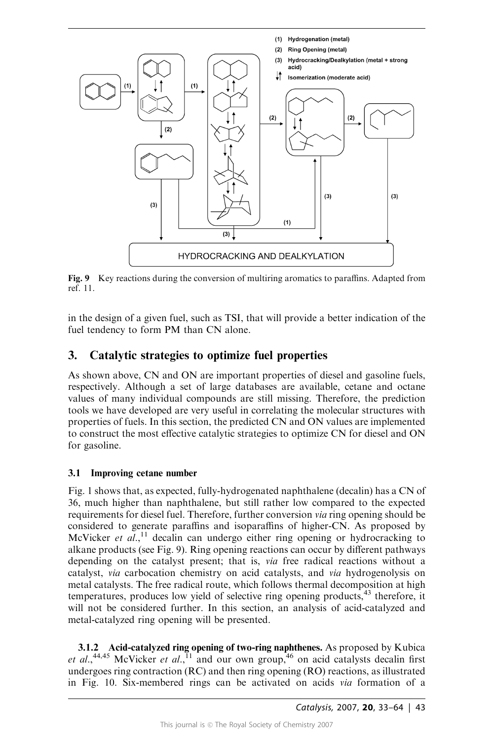

Fig. 9 Key reactions during the conversion of multiring aromatics to paraffins. Adapted from ref. 11.

in the design of a given fuel, such as TSI, that will provide a better indication of the fuel tendency to form PM than CN alone.

## 3. Catalytic strategies to optimize fuel properties

As shown above, CN and ON are important properties of diesel and gasoline fuels, respectively. Although a set of large databases are available, cetane and octane values of many individual compounds are still missing. Therefore, the prediction tools we have developed are very useful in correlating the molecular structures with properties of fuels. In this section, the predicted CN and ON values are implemented to construct the most effective catalytic strategies to optimize CN for diesel and ON for gasoline.

#### 3.1 Improving cetane number

Fig. 1 shows that, as expected, fully-hydrogenated naphthalene (decalin) has a CN of 36, much higher than naphthalene, but still rather low compared to the expected requirements for diesel fuel. Therefore, further conversion via ring opening should be considered to generate paraffins and isoparaffins of higher-CN. As proposed by McVicker *et al.*,<sup>11</sup> decalin can undergo either ring opening or hydrocracking to alkane products (see Fig. 9). Ring opening reactions can occur by different pathways depending on the catalyst present; that is, via free radical reactions without a catalyst, via carbocation chemistry on acid catalysts, and via hydrogenolysis on metal catalysts. The free radical route, which follows thermal decomposition at high temperatures, produces low yield of selective ring opening products,<sup>43</sup> therefore, it will not be considered further. In this section, an analysis of acid-catalyzed and metal-catalyzed ring opening will be presented.

3.1.2 Acid-catalyzed ring opening of two-ring naphthenes. As proposed by Kubica et al.,<sup>44,45</sup> McVicker et al.,<sup>11</sup> and our own group,<sup>46</sup> on acid catalysts decalin first undergoes ring contraction (RC) and then ring opening (RO) reactions, as illustrated in Fig. 10. Six-membered rings can be activated on acids via formation of a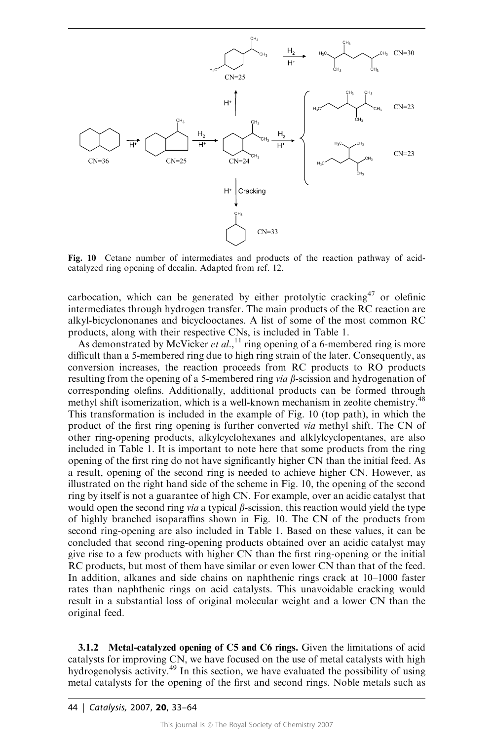

Fig. 10 Cetane number of intermediates and products of the reaction pathway of acidcatalyzed ring opening of decalin. Adapted from ref. 12.

carbocation, which can be generated by either protolytic cracking<sup>47</sup> or olefinic intermediates through hydrogen transfer. The main products of the RC reaction are alkyl-bicyclononanes and bicyclooctanes. A list of some of the most common RC products, along with their respective CNs, is included in Table 1.

As demonstrated by McVicker *et al.*,<sup>11</sup> ring opening of a 6-membered ring is more difficult than a 5-membered ring due to high ring strain of the later. Consequently, as conversion increases, the reaction proceeds from RC products to RO products resulting from the opening of a 5-membered ring *via*  $\beta$ -scission and hydrogenation of corresponding olefins. Additionally, additional products can be formed through methyl shift isomerization, which is a well-known mechanism in zeolite chemistry.<sup>48</sup> This transformation is included in the example of Fig. 10 (top path), in which the product of the first ring opening is further converted via methyl shift. The CN of other ring-opening products, alkylcyclohexanes and alklylcyclopentanes, are also included in Table 1. It is important to note here that some products from the ring opening of the first ring do not have significantly higher CN than the initial feed. As a result, opening of the second ring is needed to achieve higher CN. However, as illustrated on the right hand side of the scheme in Fig. 10, the opening of the second ring by itself is not a guarantee of high CN. For example, over an acidic catalyst that would open the second ring *via* a typical  $\beta$ -scission, this reaction would yield the type of highly branched isoparaffins shown in Fig. 10. The CN of the products from second ring-opening are also included in Table 1. Based on these values, it can be concluded that second ring-opening products obtained over an acidic catalyst may give rise to a few products with higher CN than the first ring-opening or the initial RC products, but most of them have similar or even lower CN than that of the feed. In addition, alkanes and side chains on naphthenic rings crack at 10–1000 faster rates than naphthenic rings on acid catalysts. This unavoidable cracking would result in a substantial loss of original molecular weight and a lower CN than the original feed.

3.1.2 Metal-catalyzed opening of C5 and C6 rings. Given the limitations of acid catalysts for improving CN, we have focused on the use of metal catalysts with high hydrogenolysis activity.<sup>49</sup> In this section, we have evaluated the possibility of using metal catalysts for the opening of the first and second rings. Noble metals such as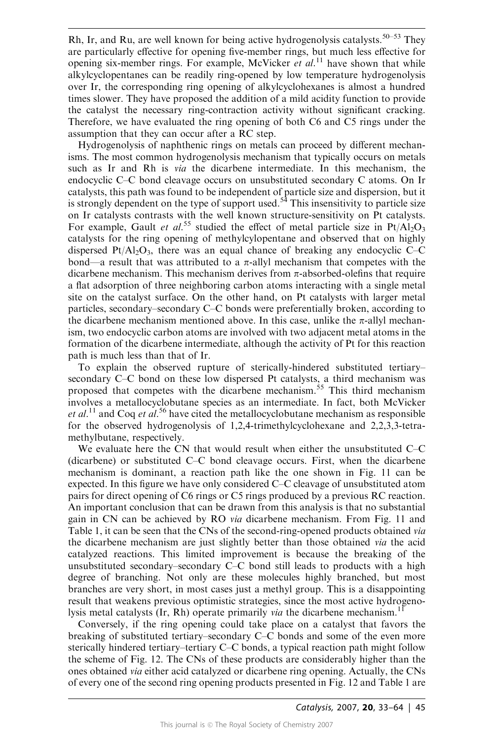Rh, Ir, and Ru, are well known for being active hydrogenolysis catalysts.<sup>50–53</sup> They are particularly effective for opening five-member rings, but much less effective for opening six-member rings. For example, McVicker et  $al$ <sup>11</sup> have shown that while alkylcyclopentanes can be readily ring-opened by low temperature hydrogenolysis over Ir, the corresponding ring opening of alkylcyclohexanes is almost a hundred times slower. They have proposed the addition of a mild acidity function to provide the catalyst the necessary ring-contraction activity without significant cracking. Therefore, we have evaluated the ring opening of both C6 and C5 rings under the assumption that they can occur after a RC step.

Hydrogenolysis of naphthenic rings on metals can proceed by different mechanisms. The most common hydrogenolysis mechanism that typically occurs on metals such as Ir and Rh is *via* the dicarbene intermediate. In this mechanism, the endocyclic C–C bond cleavage occurs on unsubstituted secondary C atoms. On Ir catalysts, this path was found to be independent of particle size and dispersion, but it is strongly dependent on the type of support used.<sup>54</sup> This insensitivity to particle size on Ir catalysts contrasts with the well known structure-sensitivity on Pt catalysts. For example, Gault et al.<sup>55</sup> studied the effect of metal particle size in  $Pt/Al_2O_3$ catalysts for the ring opening of methylcylopentane and observed that on highly dispersed  $Pt/Al_2O_3$ , there was an equal chance of breaking any endocyclic C–C bond—a result that was attributed to a  $\pi$ -allyl mechanism that competes with the dicarbene mechanism. This mechanism derives from  $\pi$ -absorbed-olefins that require a flat adsorption of three neighboring carbon atoms interacting with a single metal site on the catalyst surface. On the other hand, on Pt catalysts with larger metal particles, secondary–secondary C–C bonds were preferentially broken, according to the dicarbene mechanism mentioned above. In this case, unlike the  $\pi$ -allyl mechanism, two endocyclic carbon atoms are involved with two adjacent metal atoms in the formation of the dicarbene intermediate, although the activity of Pt for this reaction path is much less than that of Ir.

To explain the observed rupture of sterically-hindered substituted tertiary– secondary C–C bond on these low dispersed Pt catalysts, a third mechanism was proposed that competes with the dicarbene mechanism.<sup>55</sup> This third mechanism involves a metallocyclobutane species as an intermediate. In fact, both McVicker et al.<sup>11</sup> and Coq et al.<sup>56</sup> have cited the metallocyclobutane mechanism as responsible for the observed hydrogenolysis of 1,2,4-trimethylcyclohexane and 2,2,3,3-tetramethylbutane, respectively.

We evaluate here the CN that would result when either the unsubstituted C–C (dicarbene) or substituted C–C bond cleavage occurs. First, when the dicarbene mechanism is dominant, a reaction path like the one shown in Fig. 11 can be expected. In this figure we have only considered C–C cleavage of unsubstituted atom pairs for direct opening of C6 rings or C5 rings produced by a previous RC reaction. An important conclusion that can be drawn from this analysis is that no substantial gain in CN can be achieved by RO via dicarbene mechanism. From Fig. 11 and Table 1, it can be seen that the CNs of the second-ring-opened products obtained via the dicarbene mechanism are just slightly better than those obtained via the acid catalyzed reactions. This limited improvement is because the breaking of the unsubstituted secondary–secondary C–C bond still leads to products with a high degree of branching. Not only are these molecules highly branched, but most branches are very short, in most cases just a methyl group. This is a disappointing result that weakens previous optimistic strategies, since the most active hydrogenolysis metal catalysts (Ir, Rh) operate primarily via the dicarbene mechanism.

Conversely, if the ring opening could take place on a catalyst that favors the breaking of substituted tertiary–secondary C–C bonds and some of the even more sterically hindered tertiary–tertiary C–C bonds, a typical reaction path might follow the scheme of Fig. 12. The CNs of these products are considerably higher than the ones obtained via either acid catalyzed or dicarbene ring opening. Actually, the CNs of every one of the second ring opening products presented in Fig. 12 and Table 1 are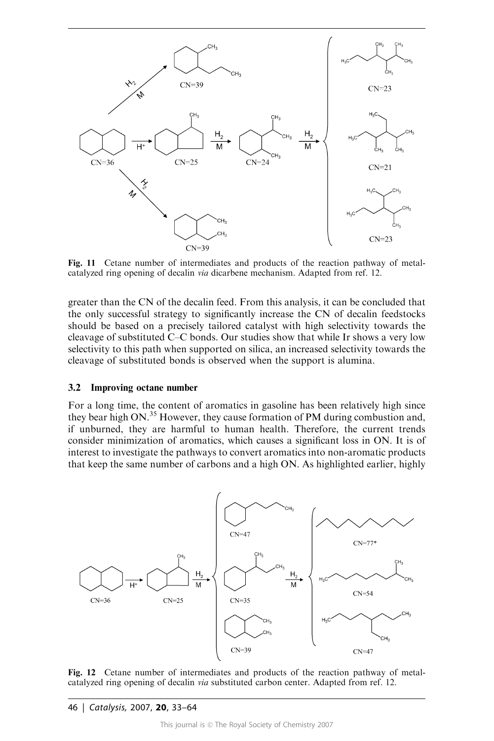

Fig. 11 Cetane number of intermediates and products of the reaction pathway of metalcatalyzed ring opening of decalin via dicarbene mechanism. Adapted from ref. 12.

greater than the CN of the decalin feed. From this analysis, it can be concluded that the only successful strategy to significantly increase the CN of decalin feedstocks should be based on a precisely tailored catalyst with high selectivity towards the cleavage of substituted C–C bonds. Our studies show that while Ir shows a very low selectivity to this path when supported on silica, an increased selectivity towards the cleavage of substituted bonds is observed when the support is alumina.

#### 3.2 Improving octane number

For a long time, the content of aromatics in gasoline has been relatively high since they bear high ON.<sup>35</sup> However, they cause formation of PM during combustion and, if unburned, they are harmful to human health. Therefore, the current trends consider minimization of aromatics, which causes a significant loss in ON. It is of interest to investigate the pathways to convert aromatics into non-aromatic products that keep the same number of carbons and a high ON. As highlighted earlier, highly



Fig. 12 Cetane number of intermediates and products of the reaction pathway of metalcatalyzed ring opening of decalin via substituted carbon center. Adapted from ref. 12.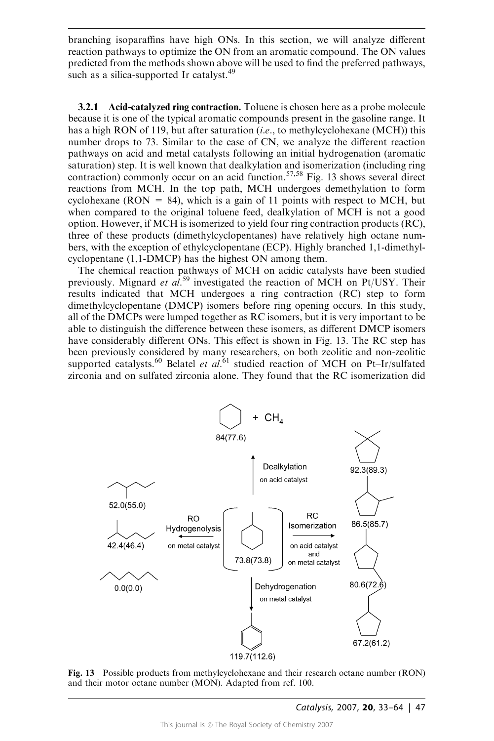branching isoparaffins have high ONs. In this section, we will analyze different reaction pathways to optimize the ON from an aromatic compound. The ON values predicted from the methods shown above will be used to find the preferred pathways, such as a silica-supported Ir catalyst.<sup>49</sup>

3.2.1 Acid-catalyzed ring contraction. Toluene is chosen here as a probe molecule because it is one of the typical aromatic compounds present in the gasoline range. It has a high RON of 119, but after saturation *(i.e.*, to methylcyclohexane (MCH)) this number drops to 73. Similar to the case of CN, we analyze the different reaction pathways on acid and metal catalysts following an initial hydrogenation (aromatic saturation) step. It is well known that dealkylation and isomerization (including ring contraction) commonly occur on an acid function.<sup>57,58</sup> Fig. 13 shows several direct reactions from MCH. In the top path, MCH undergoes demethylation to form cyclohexane (RON = 84), which is a gain of 11 points with respect to MCH, but when compared to the original toluene feed, dealkylation of MCH is not a good option. However, if MCH is isomerized to yield four ring contraction products (RC), three of these products (dimethylcyclopentanes) have relatively high octane numbers, with the exception of ethylcyclopentane (ECP). Highly branched 1,1-dimethylcyclopentane (1,1-DMCP) has the highest ON among them.

The chemical reaction pathways of MCH on acidic catalysts have been studied previously. Mignard et al.<sup>59</sup> investigated the reaction of MCH on Pt/USY. Their results indicated that MCH undergoes a ring contraction (RC) step to form dimethylcyclopentane (DMCP) isomers before ring opening occurs. In this study, all of the DMCPs were lumped together as RC isomers, but it is very important to be able to distinguish the difference between these isomers, as different DMCP isomers have considerably different ONs. This effect is shown in Fig. 13. The RC step has been previously considered by many researchers, on both zeolitic and non-zeolitic supported catalysts.<sup>60</sup> Belatel et al.<sup>61</sup> studied reaction of MCH on Pt-Ir/sulfated zirconia and on sulfated zirconia alone. They found that the RC isomerization did



Fig. 13 Possible products from methylcyclohexane and their research octane number (RON) and their motor octane number (MON). Adapted from ref. 100.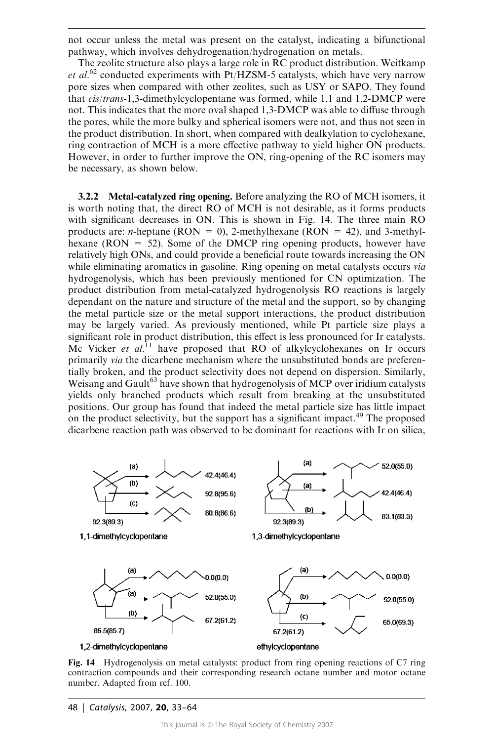not occur unless the metal was present on the catalyst, indicating a bifunctional pathway, which involves dehydrogenation/hydrogenation on metals.

The zeolite structure also plays a large role in RC product distribution. Weitkamp et al.<sup>62</sup> conducted experiments with  $Pt/HZSM-5$  catalysts, which have very narrow pore sizes when compared with other zeolites, such as USY or SAPO. They found that cis/trans-1,3-dimethylcyclopentane was formed, while 1,1 and 1,2-DMCP were not. This indicates that the more oval shaped 1,3-DMCP was able to diffuse through the pores, while the more bulky and spherical isomers were not, and thus not seen in the product distribution. In short, when compared with dealkylation to cyclohexane, ring contraction of MCH is a more effective pathway to yield higher ON products. However, in order to further improve the ON, ring-opening of the RC isomers may be necessary, as shown below.

3.2.2 Metal-catalyzed ring opening. Before analyzing the RO of MCH isomers, it is worth noting that, the direct RO of MCH is not desirable, as it forms products with significant decreases in ON. This is shown in Fig. 14. The three main RO products are: *n*-heptane (RON = 0), 2-methylhexane (RON = 42), and 3-methylhexane (RON =  $52$ ). Some of the DMCP ring opening products, however have relatively high ONs, and could provide a beneficial route towards increasing the ON while eliminating aromatics in gasoline. Ring opening on metal catalysts occurs *via* hydrogenolysis, which has been previously mentioned for CN optimization. The product distribution from metal-catalyzed hydrogenolysis RO reactions is largely dependant on the nature and structure of the metal and the support, so by changing the metal particle size or the metal support interactions, the product distribution may be largely varied. As previously mentioned, while Pt particle size plays a significant role in product distribution, this effect is less pronounced for Ir catalysts. Mc Vicker et  $al$ <sup>11</sup> have proposed that RO of alkylcyclohexanes on Ir occurs primarily *via* the dicarbene mechanism where the unsubstituted bonds are preferentially broken, and the product selectivity does not depend on dispersion. Similarly, Weisang and Gault<sup>63</sup> have shown that hydrogenolysis of MCP over iridium catalysts yields only branched products which result from breaking at the unsubstituted positions. Our group has found that indeed the metal particle size has little impact on the product selectivity, but the support has a significant impact.<sup>49</sup> The proposed dicarbene reaction path was observed to be dominant for reactions with Ir on silica,



Fig. 14 Hydrogenolysis on metal catalysts: product from ring opening reactions of C7 ring contraction compounds and their corresponding research octane number and motor octane number. Adapted from ref. 100.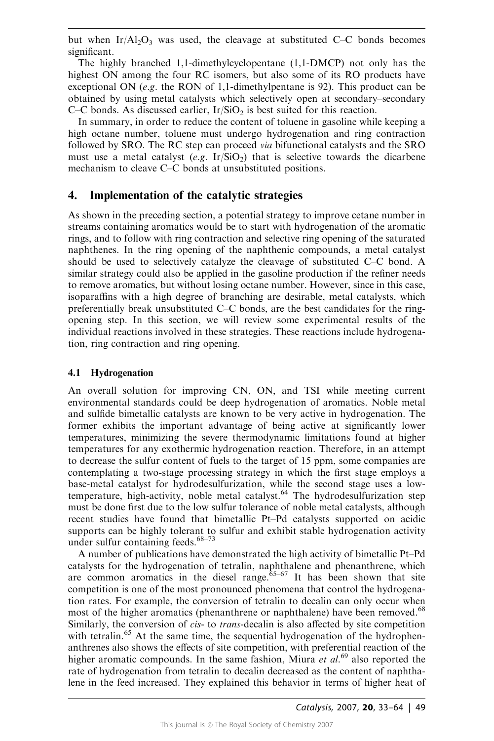but when  $Ir/A1<sub>2</sub>O<sub>3</sub>$  was used, the cleavage at substituted C–C bonds becomes significant.

The highly branched 1,1-dimethylcyclopentane (1,1-DMCP) not only has the highest ON among the four RC isomers, but also some of its RO products have exceptional ON (e.g. the RON of 1,1-dimethylpentane is 92). This product can be obtained by using metal catalysts which selectively open at secondary–secondary C–C bonds. As discussed earlier,  $Ir/SiO<sub>2</sub>$  is best suited for this reaction.

In summary, in order to reduce the content of toluene in gasoline while keeping a high octane number, toluene must undergo hydrogenation and ring contraction followed by SRO. The RC step can proceed via bifunctional catalysts and the SRO must use a metal catalyst (e.g. Ir/SiO<sub>2</sub>) that is selective towards the dicarbene mechanism to cleave C–C bonds at unsubstituted positions.

#### 4. Implementation of the catalytic strategies

As shown in the preceding section, a potential strategy to improve cetane number in streams containing aromatics would be to start with hydrogenation of the aromatic rings, and to follow with ring contraction and selective ring opening of the saturated naphthenes. In the ring opening of the naphthenic compounds, a metal catalyst should be used to selectively catalyze the cleavage of substituted C–C bond. A similar strategy could also be applied in the gasoline production if the refiner needs to remove aromatics, but without losing octane number. However, since in this case, isoparaffins with a high degree of branching are desirable, metal catalysts, which preferentially break unsubstituted C–C bonds, are the best candidates for the ringopening step. In this section, we will review some experimental results of the individual reactions involved in these strategies. These reactions include hydrogenation, ring contraction and ring opening.

#### 4.1 Hydrogenation

An overall solution for improving CN, ON, and TSI while meeting current environmental standards could be deep hydrogenation of aromatics. Noble metal and sulfide bimetallic catalysts are known to be very active in hydrogenation. The former exhibits the important advantage of being active at significantly lower temperatures, minimizing the severe thermodynamic limitations found at higher temperatures for any exothermic hydrogenation reaction. Therefore, in an attempt to decrease the sulfur content of fuels to the target of 15 ppm, some companies are contemplating a two-stage processing strategy in which the first stage employs a base-metal catalyst for hydrodesulfurization, while the second stage uses a lowtemperature, high-activity, noble metal catalyst.<sup>64</sup> The hydrodesulfurization step must be done first due to the low sulfur tolerance of noble metal catalysts, although recent studies have found that bimetallic Pt–Pd catalysts supported on acidic supports can be highly tolerant to sulfur and exhibit stable hydrogenation activity under sulfur containing feeds. $68-73$ 

A number of publications have demonstrated the high activity of bimetallic Pt–Pd catalysts for the hydrogenation of tetralin, naphthalene and phenanthrene, which are common aromatics in the diesel range. $65-67$  It has been shown that site competition is one of the most pronounced phenomena that control the hydrogenation rates. For example, the conversion of tetralin to decalin can only occur when most of the higher aromatics (phenanthrene or naphthalene) have been removed.<sup>68</sup> Similarly, the conversion of *cis*- to *trans*-decalin is also affected by site competition with tetralin.<sup>65</sup> At the same time, the sequential hydrogenation of the hydrophenanthrenes also shows the effects of site competition, with preferential reaction of the higher aromatic compounds. In the same fashion, Miura et al.<sup>69</sup> also reported the rate of hydrogenation from tetralin to decalin decreased as the content of naphthalene in the feed increased. They explained this behavior in terms of higher heat of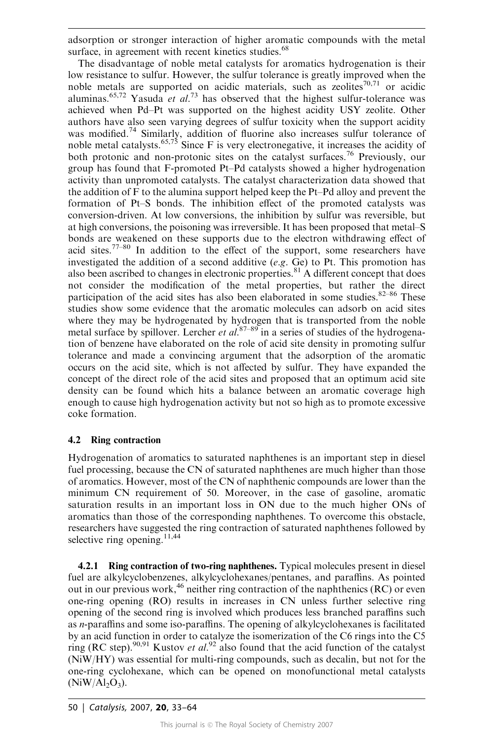adsorption or stronger interaction of higher aromatic compounds with the metal surface, in agreement with recent kinetics studies.<sup>68</sup>

The disadvantage of noble metal catalysts for aromatics hydrogenation is their low resistance to sulfur. However, the sulfur tolerance is greatly improved when the noble metals are supported on acidic materials, such as zeolites<sup>70,71</sup> or acidic aluminas.<sup>65,72</sup> Yasuda et al.<sup>73</sup> has observed that the highest sulfur-tolerance was achieved when Pd–Pt was supported on the highest acidity USY zeolite. Other authors have also seen varying degrees of sulfur toxicity when the support acidity was modified.<sup>74</sup> Similarly, addition of fluorine also increases sulfur tolerance of noble metal catalysts.<sup>65,75</sup> Since F is very electronegative, it increases the acidity of both protonic and non-protonic sites on the catalyst surfaces.<sup>76</sup> Previously, our group has found that F-promoted Pt–Pd catalysts showed a higher hydrogenation activity than unpromoted catalysts. The catalyst characterization data showed that the addition of F to the alumina support helped keep the Pt–Pd alloy and prevent the formation of Pt–S bonds. The inhibition effect of the promoted catalysts was conversion-driven. At low conversions, the inhibition by sulfur was reversible, but at high conversions, the poisoning was irreversible. It has been proposed that metal–S bonds are weakened on these supports due to the electron withdrawing effect of acid sites.<sup>77–80</sup> In addition to the effect of the support, some researchers have investigated the addition of a second additive  $(e.g. Ge)$  to Pt. This promotion has also been ascribed to changes in electronic properties.<sup>81</sup> A different concept that does not consider the modification of the metal properties, but rather the direct participation of the acid sites has also been elaborated in some studies.<sup>82–86</sup> These studies show some evidence that the aromatic molecules can adsorb on acid sites where they may be hydrogenated by hydrogen that is transported from the noble metal surface by spillover. Lercher et  $al$ <sup>87–89</sup> in a series of studies of the hydrogenation of benzene have elaborated on the role of acid site density in promoting sulfur tolerance and made a convincing argument that the adsorption of the aromatic occurs on the acid site, which is not affected by sulfur. They have expanded the concept of the direct role of the acid sites and proposed that an optimum acid site density can be found which hits a balance between an aromatic coverage high enough to cause high hydrogenation activity but not so high as to promote excessive coke formation.

#### 4.2 Ring contraction

Hydrogenation of aromatics to saturated naphthenes is an important step in diesel fuel processing, because the CN of saturated naphthenes are much higher than those of aromatics. However, most of the CN of naphthenic compounds are lower than the minimum CN requirement of 50. Moreover, in the case of gasoline, aromatic saturation results in an important loss in ON due to the much higher ONs of aromatics than those of the corresponding naphthenes. To overcome this obstacle, researchers have suggested the ring contraction of saturated naphthenes followed by selective ring opening.<sup>11,44</sup>

4.2.1 Ring contraction of two-ring naphthenes. Typical molecules present in diesel fuel are alkylcyclobenzenes, alkylcyclohexanes/pentanes, and paraffins. As pointed out in our previous work,<sup>46</sup> neither ring contraction of the naphthenics  $(RC)$  or even one-ring opening (RO) results in increases in CN unless further selective ring opening of the second ring is involved which produces less branched paraffins such as n-paraffins and some iso-paraffins. The opening of alkylcyclohexanes is facilitated by an acid function in order to catalyze the isomerization of the C6 rings into the C5 ring (RC step).<sup>90,91</sup> Kustov et al.<sup>92</sup> also found that the acid function of the catalyst (NiW/HY) was essential for multi-ring compounds, such as decalin, but not for the one-ring cyclohexane, which can be opened on monofunctional metal catalysts  $(NiW/Al_2O_3)$ .

<sup>50 |</sup> Catalysis, 2007, 20, 33–64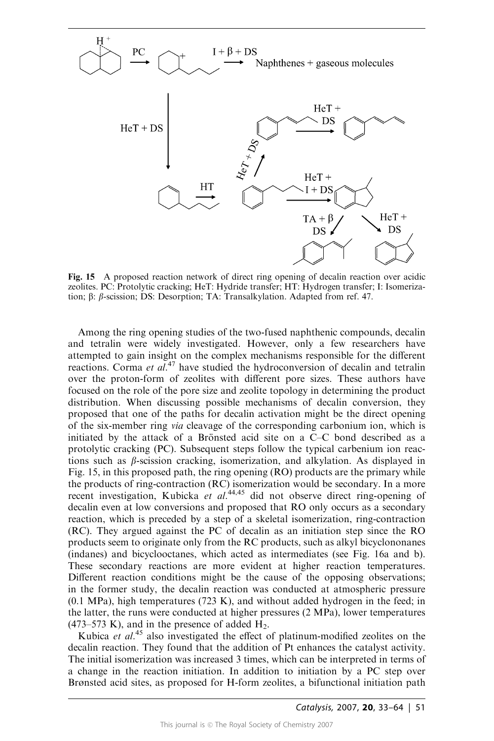

Fig. 15 A proposed reaction network of direct ring opening of decalin reaction over acidic zeolites. PC: Protolytic cracking; HeT: Hydride transfer; HT: Hydrogen transfer; I: Isomerization;  $\beta$ :  $\beta$ -scission; DS: Desorption; TA: Transalkylation. Adapted from ref. 47.

Among the ring opening studies of the two-fused naphthenic compounds, decalin and tetralin were widely investigated. However, only a few researchers have attempted to gain insight on the complex mechanisms responsible for the different reactions. Corma et  $al^{1,47}$  have studied the hydroconversion of decalin and tetralin over the proton-form of zeolites with different pore sizes. These authors have focused on the role of the pore size and zeolite topology in determining the product distribution. When discussing possible mechanisms of decalin conversion, they proposed that one of the paths for decalin activation might be the direct opening of the six-member ring via cleavage of the corresponding carbonium ion, which is initiated by the attack of a Brönsted acid site on a C–C bond described as a protolytic cracking (PC). Subsequent steps follow the typical carbenium ion reactions such as  $\beta$ -scission cracking, isomerization, and alkylation. As displayed in Fig. 15, in this proposed path, the ring opening (RO) products are the primary while the products of ring-contraction (RC) isomerization would be secondary. In a more recent investigation, Kubicka et al.<sup>44,45</sup> did not observe direct ring-opening of decalin even at low conversions and proposed that RO only occurs as a secondary reaction, which is preceded by a step of a skeletal isomerization, ring-contraction (RC). They argued against the PC of decalin as an initiation step since the RO products seem to originate only from the RC products, such as alkyl bicyclononanes (indanes) and bicyclooctanes, which acted as intermediates (see Fig. 16a and b). These secondary reactions are more evident at higher reaction temperatures. Different reaction conditions might be the cause of the opposing observations; in the former study, the decalin reaction was conducted at atmospheric pressure (0.1 MPa), high temperatures (723 K), and without added hydrogen in the feed; in the latter, the runs were conducted at higher pressures (2 MPa), lower temperatures  $(473-573 \text{ K})$ , and in the presence of added H<sub>2</sub>.

Kubica et al.<sup>45</sup> also investigated the effect of platinum-modified zeolites on the decalin reaction. They found that the addition of Pt enhances the catalyst activity. The initial isomerization was increased 3 times, which can be interpreted in terms of a change in the reaction initiation. In addition to initiation by a PC step over Brønsted acid sites, as proposed for H-form zeolites, a bifunctional initiation path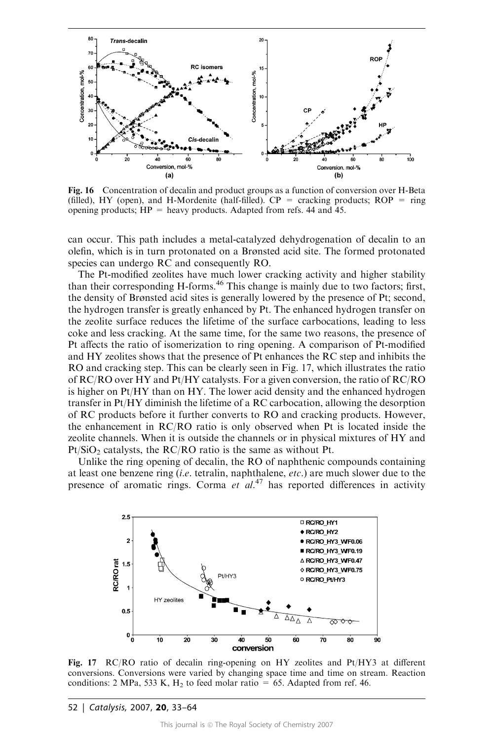

Fig. 16 Concentration of decalin and product groups as a function of conversion over H-Beta (filled), HY (open), and H-Mordenite (half-filled).  $CP =$  cracking products;  $ROP =$  ring opening products;  $HP =$  heavy products. Adapted from refs. 44 and 45.

can occur. This path includes a metal-catalyzed dehydrogenation of decalin to an olefin, which is in turn protonated on a Brønsted acid site. The formed protonated species can undergo RC and consequently RO.

The Pt-modified zeolites have much lower cracking activity and higher stability than their corresponding H-forms.<sup>46</sup> This change is mainly due to two factors; first, the density of Brønsted acid sites is generally lowered by the presence of Pt; second, the hydrogen transfer is greatly enhanced by Pt. The enhanced hydrogen transfer on the zeolite surface reduces the lifetime of the surface carbocations, leading to less coke and less cracking. At the same time, for the same two reasons, the presence of Pt affects the ratio of isomerization to ring opening. A comparison of Pt-modified and HY zeolites shows that the presence of Pt enhances the RC step and inhibits the RO and cracking step. This can be clearly seen in Fig. 17, which illustrates the ratio of RC/RO over HY and Pt/HY catalysts. For a given conversion, the ratio of RC/RO is higher on Pt/HY than on HY. The lower acid density and the enhanced hydrogen transfer in Pt/HY diminish the lifetime of a RC carbocation, allowing the desorption of RC products before it further converts to RO and cracking products. However, the enhancement in RC/RO ratio is only observed when Pt is located inside the zeolite channels. When it is outside the channels or in physical mixtures of HY and  $Pt/SiO<sub>2</sub>$  catalysts, the RC/RO ratio is the same as without Pt.

Unlike the ring opening of decalin, the RO of naphthenic compounds containing at least one benzene ring (i.e. tetralin, naphthalene, etc.) are much slower due to the presence of aromatic rings. Corma et  $al^{47}$  has reported differences in activity



Fig. 17 RC/RO ratio of decalin ring-opening on HY zeolites and Pt/HY3 at different conversions. Conversions were varied by changing space time and time on stream. Reaction conditions: 2 MPa, 533 K, H<sub>2</sub> to feed molar ratio = 65. Adapted from ref. 46.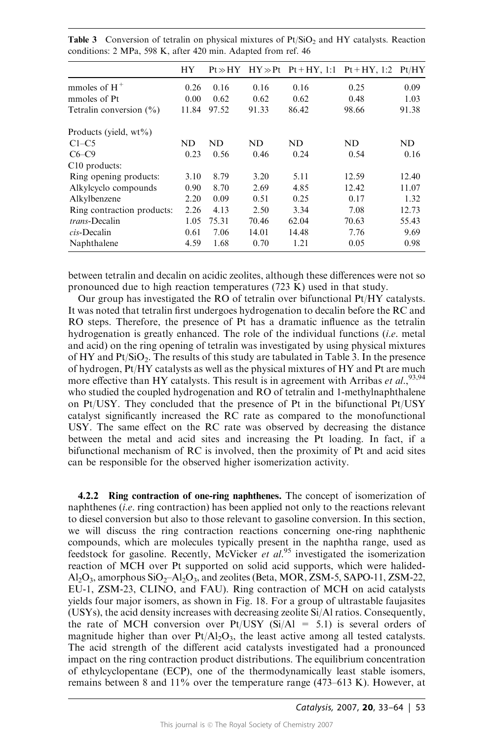|                            | HY    |       |       | $Pt \gg HY$ $HY \gg Pt$ $Pt + HY$ , 1:1 $Pt + HY$ , 1:2 |       | Pt/HY |
|----------------------------|-------|-------|-------|---------------------------------------------------------|-------|-------|
| mmoles of $H^+$            | 0.26  | 0.16  | 0.16  | 0.16                                                    | 0.25  | 0.09  |
| mmoles of Pt               | 0.00  | 0.62  | 0.62  | 0.62                                                    | 0.48  | 1.03  |
| Tetralin conversion $(\%)$ | 11.84 | 97.52 | 91.33 | 86.42                                                   | 98.66 | 91.38 |
| Products (yield, $wt\%$ )  |       |       |       |                                                         |       |       |
| $C1-C5$                    | ND.   | ND    | ND.   | ND                                                      | ND.   | ND.   |
| $C6-C9$                    | 0.23  | 0.56  | 0.46  | 0.24                                                    | 0.54  | 0.16  |
| C <sub>10</sub> products:  |       |       |       |                                                         |       |       |
| Ring opening products:     | 3.10  | 8.79  | 3.20  | 5.11                                                    | 12.59 | 12.40 |
| Alkylcyclo compounds       | 0.90  | 8.70  | 2.69  | 4.85                                                    | 12.42 | 11.07 |
| Alkylbenzene               | 2.20  | 0.09  | 0.51  | 0.25                                                    | 0.17  | 1.32  |
| Ring contraction products: | 2.26  | 4.13  | 2.50  | 3.34                                                    | 7.08  | 12.73 |
| <i>trans</i> -Decalin      | 1.05  | 75.31 | 70.46 | 62.04                                                   | 70.63 | 55.43 |
| $cis$ -Decalin             | 0.61  | 7.06  | 14.01 | 14.48                                                   | 7.76  | 9.69  |
| Naphthalene                | 4.59  | 1.68  | 0.70  | 1.21                                                    | 0.05  | 0.98  |

Table 3 Conversion of tetralin on physical mixtures of  $Pt/SiO<sub>2</sub>$  and HY catalysts. Reaction conditions: 2 MPa, 598 K, after 420 min. Adapted from ref. 46

between tetralin and decalin on acidic zeolites, although these differences were not so pronounced due to high reaction temperatures (723 K) used in that study.

Our group has investigated the RO of tetralin over bifunctional Pt/HY catalysts. It was noted that tetralin first undergoes hydrogenation to decalin before the RC and RO steps. Therefore, the presence of Pt has a dramatic influence as the tetralin hydrogenation is greatly enhanced. The role of the individual functions (i.e. metal and acid) on the ring opening of tetralin was investigated by using physical mixtures of HY and  $Pt/SiO<sub>2</sub>$ . The results of this study are tabulated in Table 3. In the presence of hydrogen, Pt/HY catalysts as well as the physical mixtures of HY and Pt are much more effective than HY catalysts. This result is in agreement with Arribas et al.,  $^{93,94}$ who studied the coupled hydrogenation and RO of tetralin and 1-methylnaphthalene on Pt/USY. They concluded that the presence of Pt in the bifunctional Pt/USY catalyst significantly increased the RC rate as compared to the monofunctional USY. The same effect on the RC rate was observed by decreasing the distance between the metal and acid sites and increasing the Pt loading. In fact, if a bifunctional mechanism of RC is involved, then the proximity of Pt and acid sites can be responsible for the observed higher isomerization activity.

4.2.2 Ring contraction of one-ring naphthenes. The concept of isomerization of naphthenes (i.e. ring contraction) has been applied not only to the reactions relevant to diesel conversion but also to those relevant to gasoline conversion. In this section, we will discuss the ring contraction reactions concerning one-ring naphthenic compounds, which are molecules typically present in the naphtha range, used as feedstock for gasoline. Recently, McVicker et al.<sup>95</sup> investigated the isomerization reaction of MCH over Pt supported on solid acid supports, which were halided- $A<sub>1</sub>, O<sub>3</sub>$ , amorphous  $SiO<sub>2</sub>–A<sub>1</sub>, O<sub>3</sub>$ , and zeolites (Beta, MOR, ZSM-5, SAPO-11, ZSM-22, EU-1, ZSM-23, CLINO, and FAU). Ring contraction of MCH on acid catalysts yields four major isomers, as shown in Fig. 18. For a group of ultrastable faujasites (USYs), the acid density increases with decreasing zeolite Si/Al ratios. Consequently, the rate of MCH conversion over  $Pt/USY$  (Si/Al = 5.1) is several orders of magnitude higher than over  $Pt/Al<sub>2</sub>O<sub>3</sub>$ , the least active among all tested catalysts. The acid strength of the different acid catalysts investigated had a pronounced impact on the ring contraction product distributions. The equilibrium concentration of ethylcyclopentane (ECP), one of the thermodynamically least stable isomers, remains between 8 and  $11\%$  over the temperature range (473–613 K). However, at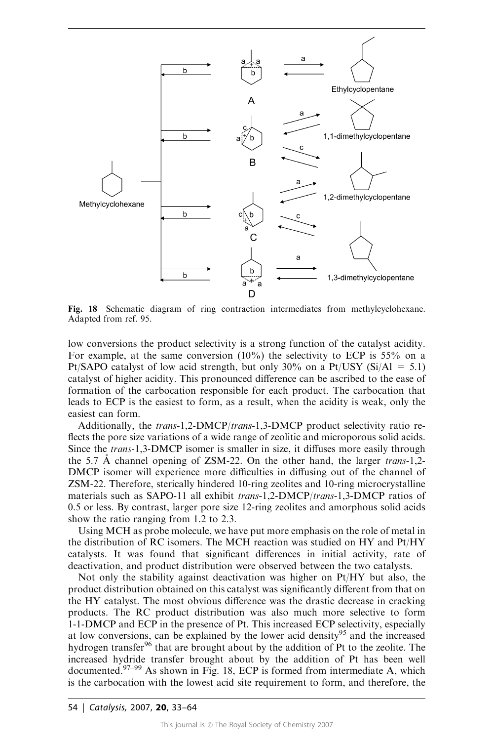

Fig. 18 Schematic diagram of ring contraction intermediates from methylcyclohexane. Adapted from ref. 95.

low conversions the product selectivity is a strong function of the catalyst acidity. For example, at the same conversion (10%) the selectivity to ECP is 55% on a Pt/SAPO catalyst of low acid strength, but only  $30\%$  on a Pt/USY (Si/Al = 5.1) catalyst of higher acidity. This pronounced difference can be ascribed to the ease of formation of the carbocation responsible for each product. The carbocation that leads to ECP is the easiest to form, as a result, when the acidity is weak, only the easiest can form.

Additionally, the trans-1,2-DMCP/trans-1,3-DMCP product selectivity ratio reflects the pore size variations of a wide range of zeolitic and microporous solid acids. Since the trans-1,3-DMCP isomer is smaller in size, it diffuses more easily through the 5.7  $\AA$  channel opening of ZSM-22. On the other hand, the larger trans-1,2-DMCP isomer will experience more difficulties in diffusing out of the channel of ZSM-22. Therefore, sterically hindered 10-ring zeolites and 10-ring microcrystalline materials such as SAPO-11 all exhibit *trans-1,2-DMCP/trans-1,3-DMCP* ratios of 0.5 or less. By contrast, larger pore size 12-ring zeolites and amorphous solid acids show the ratio ranging from 1.2 to 2.3.

Using MCH as probe molecule, we have put more emphasis on the role of metal in the distribution of RC isomers. The MCH reaction was studied on HY and Pt/HY catalysts. It was found that significant differences in initial activity, rate of deactivation, and product distribution were observed between the two catalysts.

Not only the stability against deactivation was higher on Pt/HY but also, the product distribution obtained on this catalyst was significantly different from that on the HY catalyst. The most obvious difference was the drastic decrease in cracking products. The RC product distribution was also much more selective to form 1-1-DMCP and ECP in the presence of Pt. This increased ECP selectivity, especially at low conversions, can be explained by the lower acid density<sup>95</sup> and the increased hydrogen transfer<sup>96</sup> that are brought about by the addition of Pt to the zeolite. The increased hydride transfer brought about by the addition of Pt has been well documented.<sup>97–99</sup> As shown in Fig. 18, ECP is formed from intermediate A, which is the carbocation with the lowest acid site requirement to form, and therefore, the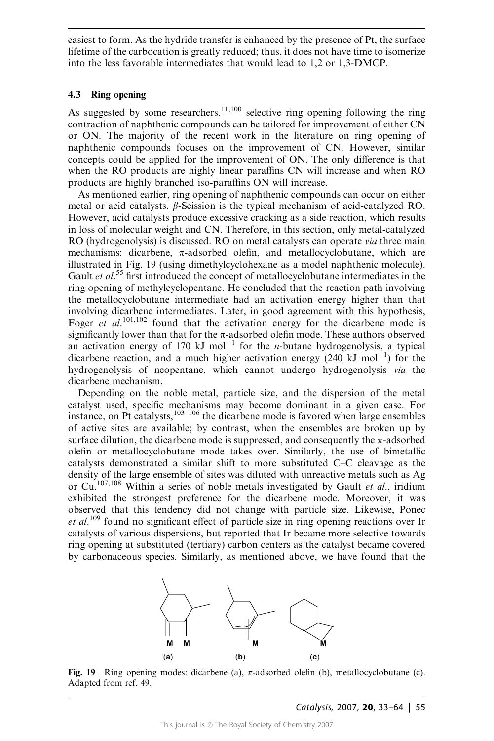easiest to form. As the hydride transfer is enhanced by the presence of Pt, the surface lifetime of the carbocation is greatly reduced; thus, it does not have time to isomerize into the less favorable intermediates that would lead to 1,2 or 1,3-DMCP.

#### 4.3 Ring opening

As suggested by some researchers,  $11,100$  selective ring opening following the ring contraction of naphthenic compounds can be tailored for improvement of either CN or ON. The majority of the recent work in the literature on ring opening of naphthenic compounds focuses on the improvement of CN. However, similar concepts could be applied for the improvement of ON. The only difference is that when the RO products are highly linear paraffins CN will increase and when RO products are highly branched iso-paraffins ON will increase.

As mentioned earlier, ring opening of naphthenic compounds can occur on either metal or acid catalysts.  $\beta$ -Scission is the typical mechanism of acid-catalyzed RO. However, acid catalysts produce excessive cracking as a side reaction, which results in loss of molecular weight and CN. Therefore, in this section, only metal-catalyzed RO (hydrogenolysis) is discussed. RO on metal catalysts can operate via three main mechanisms: dicarbene,  $\pi$ -adsorbed olefin, and metallocyclobutane, which are illustrated in Fig. 19 (using dimethylcyclohexane as a model naphthenic molecule). Gault et al.<sup>55</sup> first introduced the concept of metallocyclobutane intermediates in the ring opening of methylcyclopentane. He concluded that the reaction path involving the metallocyclobutane intermediate had an activation energy higher than that involving dicarbene intermediates. Later, in good agreement with this hypothesis, Foger et  $al$ .<sup>101,102</sup> found that the activation energy for the dicarbene mode is significantly lower than that for the  $\pi$ -adsorbed olefin mode. These authors observed an activation energy of 170 kJ mol<sup>-1</sup> for the *n*-butane hydrogenolysis, a typical dicarbene reaction, and a much higher activation energy  $(240 \text{ kJ mol}^{-1})$  for the hydrogenolysis of neopentane, which cannot undergo hydrogenolysis via the dicarbene mechanism.

Depending on the noble metal, particle size, and the dispersion of the metal catalyst used, specific mechanisms may become dominant in a given case. For instance, on Pt catalysts, $103-106$  the dicarbene mode is favored when large ensembles of active sites are available; by contrast, when the ensembles are broken up by surface dilution, the dicarbene mode is suppressed, and consequently the  $\pi$ -adsorbed olefin or metallocyclobutane mode takes over. Similarly, the use of bimetallic catalysts demonstrated a similar shift to more substituted C–C cleavage as the density of the large ensemble of sites was diluted with unreactive metals such as Ag or Cu.<sup>107,108</sup> Within a series of noble metals investigated by Gault et al., iridium exhibited the strongest preference for the dicarbene mode. Moreover, it was observed that this tendency did not change with particle size. Likewise, Ponec et al.<sup>109</sup> found no significant effect of particle size in ring opening reactions over Ir catalysts of various dispersions, but reported that Ir became more selective towards ring opening at substituted (tertiary) carbon centers as the catalyst became covered by carbonaceous species. Similarly, as mentioned above, we have found that the



Fig. 19 Ring opening modes: dicarbene (a),  $\pi$ -adsorbed olefin (b), metallocyclobutane (c). Adapted from ref. 49.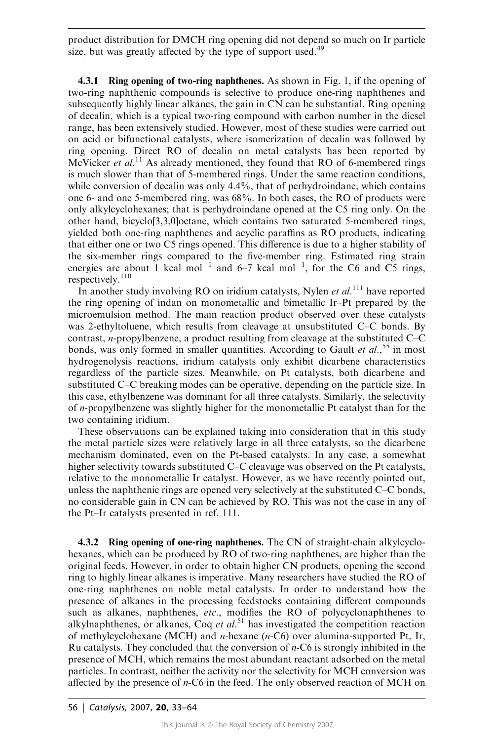product distribution for DMCH ring opening did not depend so much on Ir particle size, but was greatly affected by the type of support used.<sup>49</sup>

4.3.1 Ring opening of two-ring naphthenes. As shown in Fig. 1, if the opening of two-ring naphthenic compounds is selective to produce one-ring naphthenes and subsequently highly linear alkanes, the gain in CN can be substantial. Ring opening of decalin, which is a typical two-ring compound with carbon number in the diesel range, has been extensively studied. However, most of these studies were carried out on acid or bifunctional catalysts, where isomerization of decalin was followed by ring opening. Direct RO of decalin on metal catalysts has been reported by McVicker et  $al$ .<sup>11</sup> As already mentioned, they found that RO of 6-membered rings is much slower than that of 5-membered rings. Under the same reaction conditions, while conversion of decalin was only 4.4%, that of perhydroindane, which contains one 6- and one 5-membered ring, was 68%. In both cases, the RO of products were only alkylcyclohexanes; that is perhydroindane opened at the C5 ring only. On the other hand, bicyclo[3,3,0]octane, which contains two saturated 5-membered rings, yielded both one-ring naphthenes and acyclic paraffins as RO products, indicating that either one or two C5 rings opened. This difference is due to a higher stability of the six-member rings compared to the five-member ring. Estimated ring strain energies are about 1 kcal mol<sup>-1</sup> and 6-7 kcal mol<sup>-1</sup>, for the C6 and C5 rings, respectively.<sup>110</sup>

In another study involving RO on iridium catalysts, Nylen et al.<sup>111</sup> have reported the ring opening of indan on monometallic and bimetallic Ir–Pt prepared by the microemulsion method. The main reaction product observed over these catalysts was 2-ethyltoluene, which results from cleavage at unsubstituted C–C bonds. By contrast, n-propylbenzene, a product resulting from cleavage at the substituted C–C bonds, was only formed in smaller quantities. According to Gault *et al.*<sup>55</sup> in most hydrogenolysis reactions, iridium catalysts only exhibit dicarbene characteristics regardless of the particle sizes. Meanwhile, on Pt catalysts, both dicarbene and substituted C–C breaking modes can be operative, depending on the particle size. In this case, ethylbenzene was dominant for all three catalysts. Similarly, the selectivity of n-propylbenzene was slightly higher for the monometallic Pt catalyst than for the two containing iridium.

These observations can be explained taking into consideration that in this study the metal particle sizes were relatively large in all three catalysts, so the dicarbene mechanism dominated, even on the Pt-based catalysts. In any case, a somewhat higher selectivity towards substituted C–C cleavage was observed on the Pt catalysts. relative to the monometallic Ir catalyst. However, as we have recently pointed out, unless the naphthenic rings are opened very selectively at the substituted C–C bonds, no considerable gain in CN can be achieved by RO. This was not the case in any of the Pt–Ir catalysts presented in ref. 111.

4.3.2 Ring opening of one-ring naphthenes. The CN of straight-chain alkylcyclohexanes, which can be produced by RO of two-ring naphthenes, are higher than the original feeds. However, in order to obtain higher CN products, opening the second ring to highly linear alkanes is imperative. Many researchers have studied the RO of one-ring naphthenes on noble metal catalysts. In order to understand how the presence of alkanes in the processing feedstocks containing different compounds such as alkanes, naphthenes, etc., modifies the RO of polycyclonaphthenes to alkylnaphthenes, or alkanes, Coq et  $al$ <sup>51</sup> has investigated the competition reaction of methylcyclohexane (MCH) and *n*-hexane  $(n-C6)$  over alumina-supported Pt, Ir, Ru catalysts. They concluded that the conversion of  $n$ -C6 is strongly inhibited in the presence of MCH, which remains the most abundant reactant adsorbed on the metal particles. In contrast, neither the activity nor the selectivity for MCH conversion was affected by the presence of  $n$ -C6 in the feed. The only observed reaction of MCH on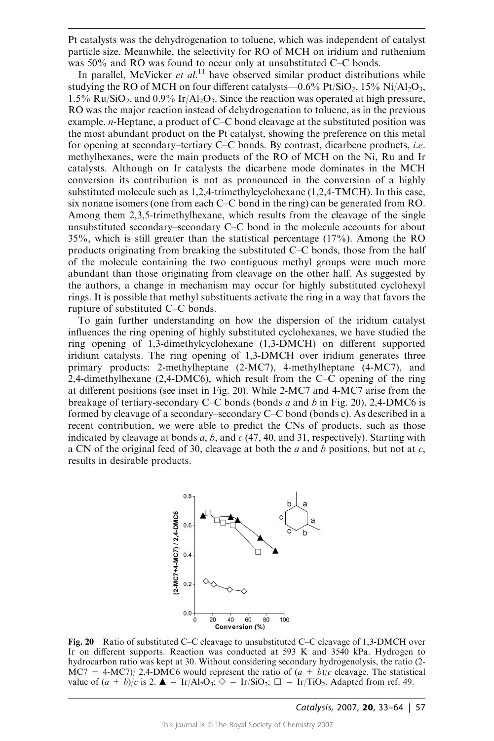Pt catalysts was the dehydrogenation to toluene, which was independent of catalyst particle size. Meanwhile, the selectivity for RO of MCH on iridium and ruthenium was 50% and RO was found to occur only at unsubstituted C–C bonds.

In parallel, McVicker et  $al$ .<sup>11</sup> have observed similar product distributions while studying the RO of MCH on four different catalysts—0.6% Pt/SiO<sub>2</sub>, 15% Ni/Al<sub>2</sub>O<sub>3</sub>,  $1.5\%$  Ru/SiO<sub>2</sub>, and 0.9% Ir/Al<sub>2</sub>O<sub>3</sub>. Since the reaction was operated at high pressure, RO was the major reaction instead of dehydrogenation to toluene, as in the previous example. n-Heptane, a product of C–C bond cleavage at the substituted position was the most abundant product on the Pt catalyst, showing the preference on this metal for opening at secondary–tertiary C–C bonds. By contrast, dicarbene products, i.e. methylhexanes, were the main products of the RO of MCH on the Ni, Ru and Ir catalysts. Although on Ir catalysts the dicarbene mode dominates in the MCH conversion its contribution is not as pronounced in the conversion of a highly substituted molecule such as 1,2,4-trimethylcyclohexane (1,2,4-TMCH). In this case, six nonane isomers (one from each C–C bond in the ring) can be generated from RO. Among them 2,3,5-trimethylhexane, which results from the cleavage of the single unsubstituted secondary–secondary C–C bond in the molecule accounts for about 35%, which is still greater than the statistical percentage (17%). Among the RO products originating from breaking the substituted C–C bonds, those from the half of the molecule containing the two contiguous methyl groups were much more abundant than those originating from cleavage on the other half. As suggested by the authors, a change in mechanism may occur for highly substituted cyclohexyl rings. It is possible that methyl substituents activate the ring in a way that favors the rupture of substituted C–C bonds.

To gain further understanding on how the dispersion of the iridium catalyst influences the ring opening of highly substituted cyclohexanes, we have studied the ring opening of 1,3-dimethylcyclohexane (1,3-DMCH) on different supported iridium catalysts. The ring opening of 1,3-DMCH over iridium generates three primary products: 2-methylheptane (2-MC7), 4-methylheptane (4-MC7), and 2,4-dimethylhexane (2,4-DMC6), which result from the C–C opening of the ring at different positions (see inset in Fig. 20). While 2-MC7 and 4-MC7 arise from the breakage of tertiary-secondary C–C bonds (bonds  $a$  and  $b$  in Fig. 20), 2,4-DMC6 is formed by cleavage of a secondary–secondary C–C bond (bonds c). As described in a recent contribution, we were able to predict the CNs of products, such as those indicated by cleavage at bonds  $a, b$ , and  $c$  (47, 40, and 31, respectively). Starting with a CN of the original feed of 30, cleavage at both the  $a$  and  $b$  positions, but not at  $c$ , results in desirable products.



Fig. 20 Ratio of substituted C–C cleavage to unsubstituted C–C cleavage of 1,3-DMCH over Ir on different supports. Reaction was conducted at 593 K and 3540 kPa. Hydrogen to hydrocarbon ratio was kept at 30. Without considering secondary hydrogenolysis, the ratio (2-  $MC7 + 4-MC7$ / 2,4-DMC6 would represent the ratio of  $(a + b)/c$  cleavage. The statistical value of  $(a + b)/c$  is 2.  $\blacktriangle$  = Ir/Al<sub>2</sub>O<sub>3</sub>;  $\diamond$  = Ir/SiO<sub>2</sub>;  $\square$  = Ir/TiO<sub>2</sub>. Adapted from ref. 49.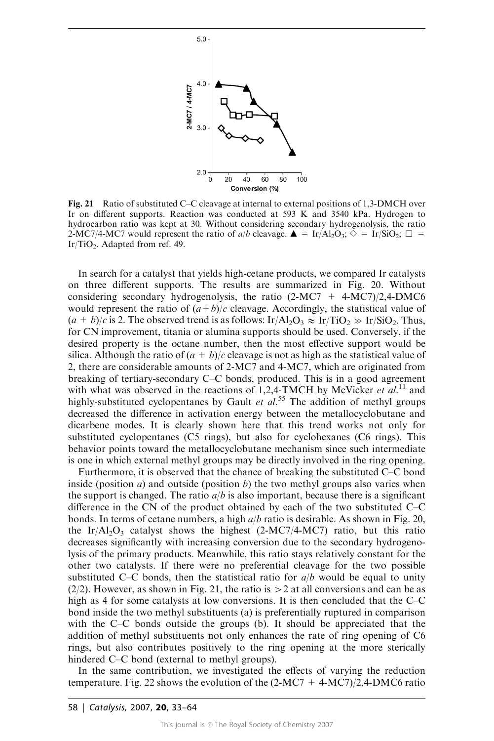

Fig. 21 Ratio of substituted C–C cleavage at internal to external positions of 1,3-DMCH over Ir on different supports. Reaction was conducted at 593 K and 3540 kPa. Hydrogen to hydrocarbon ratio was kept at 30. Without considering secondary hydrogenolysis, the ratio 2-MC7/4-MC7 would represent the ratio of a/b cleavage.  $\blacktriangle = \text{Ir}/\text{Al}_2\text{O}_3$ ;  $\diamond$  = Ir/SiO<sub>2</sub>;  $\square$  = Ir/TiO<sub>2</sub>. Adapted from ref. 49.

In search for a catalyst that yields high-cetane products, we compared Ir catalysts on three different supports. The results are summarized in Fig. 20. Without considering secondary hydrogenolysis, the ratio  $(2-MC<sup>7</sup> + 4-MC<sup>7</sup>)/2,4-DMC<sup>6</sup>$ would represent the ratio of  $(a+b)/c$  cleavage. Accordingly, the statistical value of  $(a + b)/c$  is 2. The observed trend is as follows: Ir/Al<sub>2</sub>O<sub>3</sub>  $\approx$  Ir/TiO<sub>2</sub>  $\gg$  Ir/SiO<sub>2</sub>. Thus, for CN improvement, titania or alumina supports should be used. Conversely, if the desired property is the octane number, then the most effective support would be silica. Although the ratio of  $(a + b)/c$  cleavage is not as high as the statistical value of 2, there are considerable amounts of 2-MC7 and 4-MC7, which are originated from breaking of tertiary-secondary C–C bonds, produced. This is in a good agreement with what was observed in the reactions of 1,2,4-TMCH by McVicker et  $al$ .<sup>11</sup> and highly-substituted cyclopentanes by Gault et  $al$ .<sup>55</sup> The addition of methyl groups decreased the difference in activation energy between the metallocyclobutane and dicarbene modes. It is clearly shown here that this trend works not only for substituted cyclopentanes (C5 rings), but also for cyclohexanes (C6 rings). This behavior points toward the metallocyclobutane mechanism since such intermediate is one in which external methyl groups may be directly involved in the ring opening.

Furthermore, it is observed that the chance of breaking the substituted C–C bond inside (position  $a$ ) and outside (position  $b$ ) the two methyl groups also varies when the support is changed. The ratio  $a/b$  is also important, because there is a significant difference in the CN of the product obtained by each of the two substituted C–C bonds. In terms of cetane numbers, a high  $a/b$  ratio is desirable. As shown in Fig. 20, the Ir/Al<sub>2</sub>O<sub>3</sub> catalyst shows the highest  $(2-MC7/4-MC7)$  ratio, but this ratio decreases significantly with increasing conversion due to the secondary hydrogenolysis of the primary products. Meanwhile, this ratio stays relatively constant for the other two catalysts. If there were no preferential cleavage for the two possible substituted C–C bonds, then the statistical ratio for  $a/b$  would be equal to unity (2/2). However, as shown in Fig. 21, the ratio is  $>$  2 at all conversions and can be as high as 4 for some catalysts at low conversions. It is then concluded that the C–C bond inside the two methyl substituents (a) is preferentially ruptured in comparison with the C–C bonds outside the groups (b). It should be appreciated that the addition of methyl substituents not only enhances the rate of ring opening of C6 rings, but also contributes positively to the ring opening at the more sterically hindered C–C bond (external to methyl groups).

In the same contribution, we investigated the effects of varying the reduction temperature. Fig. 22 shows the evolution of the  $(2-MC7 + 4-MC7)/2,4-DMC6$  ratio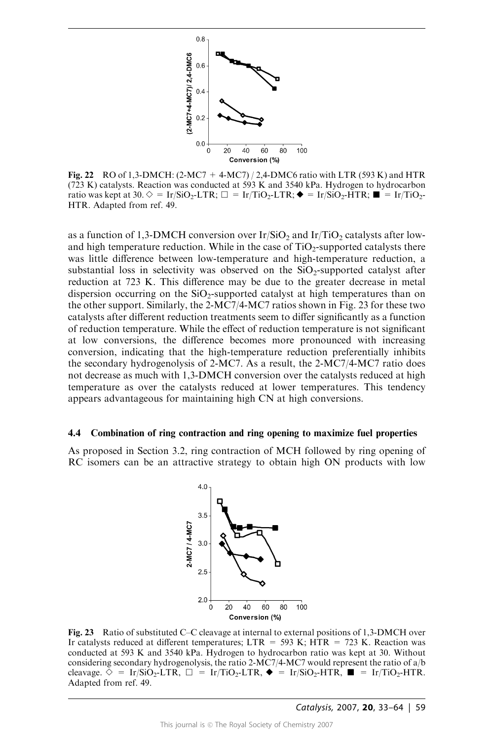

**Fig. 22** RO of 1,3-DMCH:  $(2-MC7 + 4-MC7)/2$ ,4-DMC6 ratio with LTR (593 K) and HTR (723 K) catalysts. Reaction was conducted at 593 K and 3540 kPa. Hydrogen to hydrocarbon ratio was kept at 30.  $\Diamond$  = Ir/SiO<sub>2</sub>-LTR;  $\Box$  = Ir/TiO<sub>2</sub>-LTR;  $\blacklozenge$  = Ir/SiO<sub>2</sub>-HTR;  $\blacksquare$  = Ir/TiO<sub>2</sub>-HTR. Adapted from ref. 49.

as a function of 1,3-DMCH conversion over  $Ir/SiO<sub>2</sub>$  and  $Ir/TiO<sub>2</sub>$  catalysts after lowand high temperature reduction. While in the case of  $TiO<sub>2</sub>$ -supported catalysts there was little difference between low-temperature and high-temperature reduction, a substantial loss in selectivity was observed on the  $SiO<sub>2</sub>$ -supported catalyst after reduction at 723 K. This difference may be due to the greater decrease in metal dispersion occurring on the  $SiO<sub>2</sub>$ -supported catalyst at high temperatures than on the other support. Similarly, the 2-MC7/4-MC7 ratios shown in Fig. 23 for these two catalysts after different reduction treatments seem to differ significantly as a function of reduction temperature. While the effect of reduction temperature is not significant at low conversions, the difference becomes more pronounced with increasing conversion, indicating that the high-temperature reduction preferentially inhibits the secondary hydrogenolysis of 2-MC7. As a result, the 2-MC7/4-MC7 ratio does not decrease as much with 1,3-DMCH conversion over the catalysts reduced at high temperature as over the catalysts reduced at lower temperatures. This tendency appears advantageous for maintaining high CN at high conversions.

#### 4.4 Combination of ring contraction and ring opening to maximize fuel properties

As proposed in Section 3.2, ring contraction of MCH followed by ring opening of RC isomers can be an attractive strategy to obtain high ON products with low



Fig. 23 Ratio of substituted C–C cleavage at internal to external positions of 1,3-DMCH over Ir catalysts reduced at different temperatures; LTR = 593 K; HTR = 723 K. Reaction was conducted at 593 K and 3540 kPa. Hydrogen to hydrocarbon ratio was kept at 30. Without considering secondary hydrogenolysis, the ratio 2-MC7/4-MC7 would represent the ratio of a/b cleavage.  $\circ$  = Ir/SiO<sub>2</sub>-LTR,  $\Box$  = Ir/TiO<sub>2</sub>-LTR,  $\bullet$  = Ir/SiO<sub>2</sub>-HTR,  $\blacksquare$  = Ir/TiO<sub>2</sub>-HTR. Adapted from ref. 49.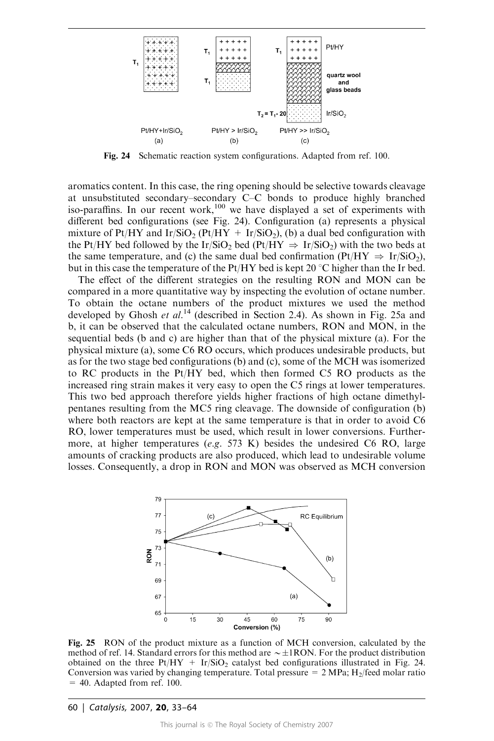

Fig. 24 Schematic reaction system configurations. Adapted from ref. 100.

aromatics content. In this case, the ring opening should be selective towards cleavage at unsubstituted secondary–secondary C–C bonds to produce highly branched iso-paraffins. In our recent work,<sup>100</sup> we have displayed a set of experiments with different bed configurations (see Fig. 24). Configuration (a) represents a physical mixture of Pt/HY and Ir/SiO<sub>2</sub> (Pt/HY + Ir/SiO<sub>2</sub>), (b) a dual bed configuration with the Pt/HY bed followed by the Ir/SiO<sub>2</sub> bed (Pt/HY  $\Rightarrow$  Ir/SiO<sub>2</sub>) with the two beds at the same temperature, and (c) the same dual bed confirmation (Pt/HY  $\Rightarrow$  Ir/SiO<sub>2</sub>), but in this case the temperature of the Pt/HY bed is kept 20  $\degree$ C higher than the Ir bed.

The effect of the different strategies on the resulting RON and MON can be compared in a more quantitative way by inspecting the evolution of octane number. To obtain the octane numbers of the product mixtures we used the method developed by Ghosh et al.<sup>14</sup> (described in Section 2.4). As shown in Fig. 25a and b, it can be observed that the calculated octane numbers, RON and MON, in the sequential beds (b and c) are higher than that of the physical mixture (a). For the physical mixture (a), some C6 RO occurs, which produces undesirable products, but as for the two stage bed configurations (b) and (c), some of the MCH was isomerized to RC products in the Pt/HY bed, which then formed C5 RO products as the increased ring strain makes it very easy to open the C5 rings at lower temperatures. This two bed approach therefore yields higher fractions of high octane dimethylpentanes resulting from the MC5 ring cleavage. The downside of configuration (b) where both reactors are kept at the same temperature is that in order to avoid C6 RO, lower temperatures must be used, which result in lower conversions. Furthermore, at higher temperatures (e.g. 573 K) besides the undesired C6 RO, large amounts of cracking products are also produced, which lead to undesirable volume losses. Consequently, a drop in RON and MON was observed as MCH conversion



Fig. 25 RON of the product mixture as a function of MCH conversion, calculated by the method of ref. 14. Standard errors for this method are  $\sim \pm 1\text{RON}$ . For the product distribution obtained on the three  $Pt/HY + Ir/SiO<sub>2</sub>$  catalyst bed configurations illustrated in Fig. 24. Conversion was varied by changing temperature. Total pressure  $= 2 \text{ MPa}$ ; H<sub>2</sub>/feed molar ratio  $= 40$ . Adapted from ref. 100.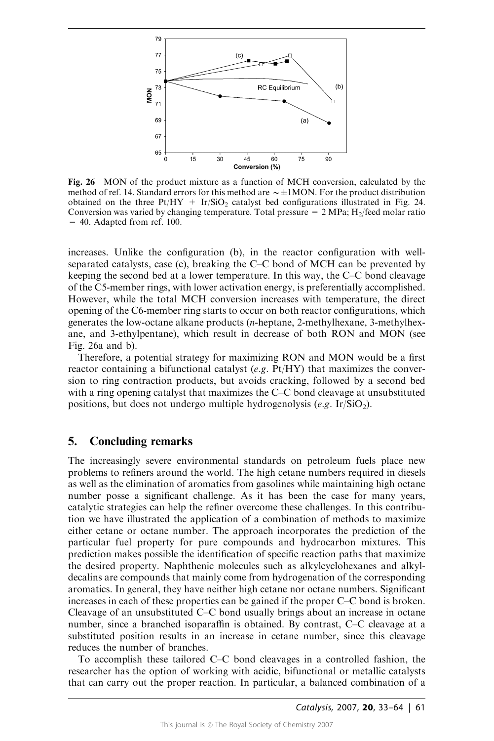

Fig. 26 MON of the product mixture as a function of MCH conversion, calculated by the method of ref. 14. Standard errors for this method are  $\sim \pm 1\text{MON}$ . For the product distribution obtained on the three  $Pt/HY + Ir/SiO<sub>2</sub>$  catalyst bed configurations illustrated in Fig. 24. Conversion was varied by changing temperature. Total pressure  $= 2 \text{ MPa}$ ; H<sub>2</sub>/feed molar ratio  $= 40$ . Adapted from ref. 100.

increases. Unlike the configuration (b), in the reactor configuration with wellseparated catalysts, case (c), breaking the C–C bond of MCH can be prevented by keeping the second bed at a lower temperature. In this way, the C–C bond cleavage of the C5-member rings, with lower activation energy, is preferentially accomplished. However, while the total MCH conversion increases with temperature, the direct opening of the C6-member ring starts to occur on both reactor configurations, which generates the low-octane alkane products (n-heptane, 2-methylhexane, 3-methylhexane, and 3-ethylpentane), which result in decrease of both RON and MON (see Fig. 26a and b).

Therefore, a potential strategy for maximizing RON and MON would be a first reactor containing a bifunctional catalyst (e.g.  $Pt/HY$ ) that maximizes the conversion to ring contraction products, but avoids cracking, followed by a second bed with a ring opening catalyst that maximizes the C–C bond cleavage at unsubstituted positions, but does not undergo multiple hydrogenolysis (e.g. Ir/SiO<sub>2</sub>).

#### 5. Concluding remarks

The increasingly severe environmental standards on petroleum fuels place new problems to refiners around the world. The high cetane numbers required in diesels as well as the elimination of aromatics from gasolines while maintaining high octane number posse a significant challenge. As it has been the case for many years, catalytic strategies can help the refiner overcome these challenges. In this contribution we have illustrated the application of a combination of methods to maximize either cetane or octane number. The approach incorporates the prediction of the particular fuel property for pure compounds and hydrocarbon mixtures. This prediction makes possible the identification of specific reaction paths that maximize the desired property. Naphthenic molecules such as alkylcyclohexanes and alkyldecalins are compounds that mainly come from hydrogenation of the corresponding aromatics. In general, they have neither high cetane nor octane numbers. Significant increases in each of these properties can be gained if the proper C–C bond is broken. Cleavage of an unsubstituted C–C bond usually brings about an increase in octane number, since a branched isoparaffin is obtained. By contrast, C–C cleavage at a substituted position results in an increase in cetane number, since this cleavage reduces the number of branches.

To accomplish these tailored C–C bond cleavages in a controlled fashion, the researcher has the option of working with acidic, bifunctional or metallic catalysts that can carry out the proper reaction. In particular, a balanced combination of a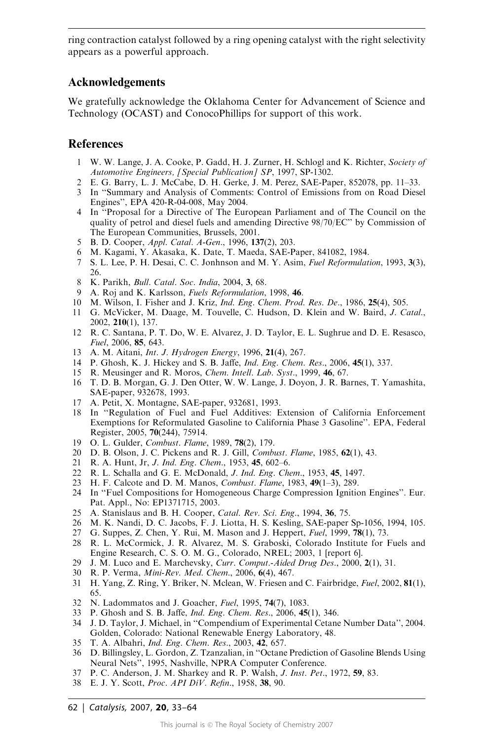ring contraction catalyst followed by a ring opening catalyst with the right selectivity appears as a powerful approach.

## Acknowledgements

We gratefully acknowledge the Oklahoma Center for Advancement of Science and Technology (OCAST) and ConocoPhillips for support of this work.

## References

- 1 W. W. Lange, J. A. Cooke, P. Gadd, H. J. Zurner, H. Schlogl and K. Richter, Society of Automotive Engineers, [Special Publication] SP, 1997, SP-1302.
- 2 E. G. Barry, L. J. McCabe, D. H. Gerke, J. M. Perez, SAE-Paper, 852078, pp. 11–33.
- 3 In ''Summary and Analysis of Comments: Control of Emissions from on Road Diesel Engines'', EPA 420-R-04-008, May 2004.
- 4 In ''Proposal for a Directive of The European Parliament and of The Council on the quality of petrol and diesel fuels and amending Directive 98/70/EC'' by Commission of The European Communities, Brussels, 2001.
- 5 B. D. Cooper, Appl. Catal. A-Gen., 1996, 137(2), 203.
- 6 M. Kagami, Y. Akasaka, K. Date, T. Maeda, SAE-Paper, 841082, 1984.
- 7 S. L. Lee, P. H. Desai, C. C. Jonhnson and M. Y. Asim, Fuel Reformulation, 1993, 3(3), 26.
- 8 K. Parikh, Bull. Catal. Soc. India, 2004, 3, 68.
- 9 A. Roj and K. Karlsson, Fuels Reformulation, 1998, 46.
- 10 M. Wilson, I. Fisher and J. Kriz, Ind. Eng. Chem. Prod. Res. De., 1986, 25(4), 505.
- 11 G. McVicker, M. Daage, M. Touvelle, C. Hudson, D. Klein and W. Baird, J. Catal., 2002, 210(1), 137.
- 12 R. C. Santana, P. T. Do, W. E. Alvarez, J. D. Taylor, E. L. Sughrue and D. E. Resasco, Fuel, 2006, 85, 643.
- 13 A. M. Aitani, Int. J. Hydrogen Energy, 1996, 21(4), 267.
- 14 P. Ghosh, K. J. Hickey and S. B. Jaffe, Ind. Eng. Chem. Res., 2006, 45(1), 337.
- 15 R. Meusinger and R. Moros, Chem. Intell. Lab. Syst., 1999, 46, 67.
- 16 T. D. B. Morgan, G. J. Den Otter, W. W. Lange, J. Doyon, J. R. Barnes, T. Yamashita, SAE-paper, 932678, 1993.
- 17 A. Petit, X. Montagne, SAE-paper, 932681, 1993.
- 18 In ''Regulation of Fuel and Fuel Additives: Extension of California Enforcement Exemptions for Reformulated Gasoline to California Phase 3 Gasoline''. EPA, Federal Register, 2005, 70(244), 75914.
- 19 O. L. Gulder, Combust. Flame, 1989, 78(2), 179.
- 20 D. B. Olson, J. C. Pickens and R. J. Gill, *Combust. Flame*, 1985, 62(1), 43.
- 21 R. A. Hunt, Jr, J. Ind. Eng. Chem., 1953, 45, 602–6.
- 22 R. L. Schalla and G. E. McDonald, J. Ind. Eng. Chem., 1953, 45, 1497.
- 23 H. F. Calcote and D. M. Manos, Combust. Flame, 1983, 49(1–3), 289.
- 24 In ''Fuel Compositions for Homogeneous Charge Compression Ignition Engines''. Eur. Pat. Appl., No: EP1371715, 2003.
- 25 A. Stanislaus and B. H. Cooper, Catal. Rev. Sci. Eng., 1994, 36, 75.
- 26 M. K. Nandi, D. C. Jacobs, F. J. Liotta, H. S. Kesling, SAE-paper Sp-1056, 1994, 105.<br>27 G. Suppes, Z. Chen, Y. Rui, M. Mason and J. Heppert. *Fuel*, 1999, **78**(1), 73.
- G. Suppes, Z. Chen, Y. Rui, M. Mason and J. Heppert, *Fuel*, 1999, **78**(1), 73.
- 28 R. L. McCormick, J. R. Alvarez, M. S. Graboski, Colorado Institute for Fuels and Engine Research, C. S. O. M. G., Colorado, NREL; 2003, 1 [report 6].
- 29 J. M. Luco and E. Marchevsky, Curr. Comput.-Aided Drug Des., 2000, 2(1), 31.
- 30 R. P. Verma, Mini-Rev. Med. Chem., 2006, 6(4), 467.
- 31 H. Yang, Z. Ring, Y. Briker, N. Mclean, W. Friesen and C. Fairbridge, Fuel, 2002, 81(1), 65.
- 32 N. Ladommatos and J. Goacher, Fuel, 1995, 74(7), 1083.
- 33 P. Ghosh and S. B. Jaffe, Ind. Eng. Chem. Res., 2006, 45(1), 346.
- 34 J. D. Taylor, J. Michael, in ''Compendium of Experimental Cetane Number Data'', 2004. Golden, Colorado: National Renewable Energy Laboratory, 48.
- 35 T. A. Albahri, Ind. Eng. Chem. Res., 2003, 42, 657.
- 36 D. Billingsley, L. Gordon, Z. Tzanzalian, in ''Octane Prediction of Gasoline Blends Using Neural Nets'', 1995, Nashville, NPRA Computer Conference.
- 37 P. C. Anderson, J. M. Sharkey and R. P. Walsh, *J. Inst. Pet.*, 1972, 59, 83.
- 38 E. J. Y. Scott, Proc. API DiV. Refin., 1958, 38, 90.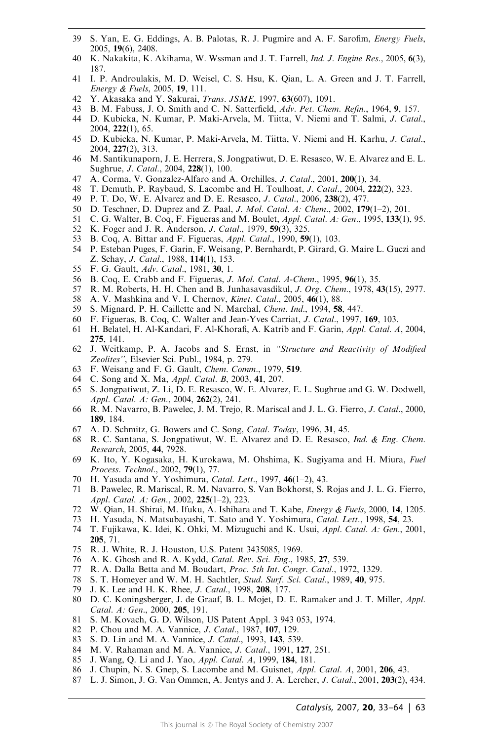- 39 S. Yan, E. G. Eddings, A. B. Palotas, R. J. Pugmire and A. F. Sarofim, *Energy Fuels*, 2005, 19(6), 2408.
- 40 K. Nakakita, K. Akihama, W. Wssman and J. T. Farrell, Ind. J. Engine Res., 2005, 6(3), 187.
- 41 I. P. Androulakis, M. D. Weisel, C. S. Hsu, K. Qian, L. A. Green and J. T. Farrell, Energy & Fuels, 2005, 19, 111.
- 42 Y. Akasaka and Y. Sakurai, Trans. JSME, 1997, 63(607), 1091.
- 43 B. M. Fabuss, J. O. Smith and C. N. Satterfield, Adv. Pet. Chem. Refin., 1964, 9, 157.<br>44 D. Kubicka, N. Kumar, P. Maki-Arvela, M. Tiitta, V. Niemi and T. Salmi, L. Catai
- 44 D. Kubicka, N. Kumar, P. Maki-Arvela, M. Tiitta, V. Niemi and T. Salmi, J. Catal., 2004, 222(1), 65.
- 45 D. Kubicka, N. Kumar, P. Maki-Arvela, M. Tiitta, V. Niemi and H. Karhu, J. Catal., 2004, 227(2), 313.
- 46 M. Santikunaporn, J. E. Herrera, S. Jongpatiwut, D. E. Resasco, W. E. Alvarez and E. L. Sughrue, J. Catal., 2004, 228(1), 100.
- 47 A. Corma, V. Gonzalez-Alfaro and A. Orchilles, J. Catal., 2001, 200(1), 34.
- 48 T. Demuth, P. Raybaud, S. Lacombe and H. Toulhoat, J. Catal., 2004, 222(2), 323.
- 49 P. T. Do, W. E. Alvarez and D. E. Resasco, J. Catal., 2006, 238(2), 477.
- 50 D. Teschner, D. Duprez and Z. Paal, J. Mol. Catal. A: Chem., 2002, 179(1–2), 201.
- 51 C. G. Walter, B. Coq, F. Figueras and M. Boulet, Appl. Catal. A: Gen., 1995, 133(1), 95.
- 52 K. Foger and J. R. Anderson, *J. Catal.*, 1979, 59(3), 325.
- 53 B. Coq, A. Bittar and F. Figueras, Appl. Catal., 1990, 59(1), 103.
- 54 P. Esteban Puges, F. Garin, F. Weisang, P. Bernhardt, P. Girard, G. Maire L. Guczi and Z. Schay, J. Catal., 1988, 114(1), 153.
- 55 F. G. Gault, Adv. Catal., 1981, 30, 1.
- 56 B. Coq, E. Crabb and F. Figueras, J. Mol. Catal. A-Chem., 1995, 96(1), 35.
- 57 R. M. Roberts, H. H. Chen and B. Junhasavasdikul, J. Org. Chem., 1978, 43(15), 2977.
- 58 A. V. Mashkina and V. I. Chernov, *Kinet. Catal.*, 2005, 46(1), 88.
- 59 S. Mignard, P. H. Caillette and N. Marchal, *Chem. Ind.*, 1994, **58**, 447.
- 60 F. Figueras, B. Coq, C. Walter and Jean-Yves Carriat, J. Catal., 1997, 169, 103.
- 61 H. Belatel, H. Al-Kandari, F. Al-Khorafi, A. Katrib and F. Garin, Appl. Catal. A, 2004, 275, 141.
- 62 J. Weitkamp, P. A. Jacobs and S. Ernst, in ''Structure and Reactivity of Modified Zeolites'', Elsevier Sci. Publ., 1984, p. 279.
- 63 F. Weisang and F. G. Gault, Chem. Comm., 1979, 519.
- 64 C. Song and X. Ma, Appl. Catal. B, 2003, 41, 207.
- 65 S. Jongpatiwut, Z. Li, D. E. Resasco, W. E. Alvarez, E. L. Sughrue and G. W. Dodwell, Appl. Catal. A: Gen., 2004, 262(2), 241.
- 66 R. M. Navarro, B. Pawelec, J. M. Trejo, R. Mariscal and J. L. G. Fierro, J. Catal., 2000, 189, 184.
- 67 A. D. Schmitz, G. Bowers and C. Song, Catal. Today, 1996, 31, 45.
- 68 R. C. Santana, S. Jongpatiwut, W. E. Alvarez and D. E. Resasco, Ind. & Eng. Chem. Research, 2005, 44, 7928.
- 69 K. Ito, Y. Kogasaka, H. Kurokawa, M. Ohshima, K. Sugiyama and H. Miura, Fuel Process. Technol., 2002, 79(1), 77.
- 70 H. Yasuda and Y. Yoshimura, Catal. Lett., 1997, 46(1-2), 43.
- 71 B. Pawelec, R. Mariscal, R. M. Navarro, S. Van Bokhorst, S. Rojas and J. L. G. Fierro, Appl. Catal. A: Gen., 2002, 225(1-2), 223.
- 72 W. Qian, H. Shirai, M. Ifuku, A. Ishihara and T. Kabe, *Energy & Fuels*, 2000, 14, 1205.
- 73 H. Yasuda, N. Matsubayashi, T. Sato and Y. Yoshimura, Catal. Lett., 1998, 54, 23.
- 74 T. Fujikawa, K. Idei, K. Ohki, M. Mizuguchi and K. Usui, Appl. Catal. A: Gen., 2001, 205, 71.
- 75 R. J. White, R. J. Houston, U.S. Patent 3435085, 1969.
- 76 A. K. Ghosh and R. A. Kydd, Catal. Rev. Sci. Eng., 1985, 27, 539.
- 77 R. A. Dalla Betta and M. Boudart, Proc. 5th Int. Congr. Catal., 1972, 1329.
- 78 S. T. Homeyer and W. M. H. Sachtler, Stud. Surf. Sci. Catal., 1989, 40, 975.
- 79 J. K. Lee and H. K. Rhee, *J. Catal.*, 1998, 208, 177.
- 80 D. C. Koningsberger, J. de Graaf, B. L. Mojet, D. E. Ramaker and J. T. Miller, Appl. Catal. A: Gen., 2000, 205, 191.
- 81 S. M. Kovach, G. D. Wilson, US Patent Appl. 3 943 053, 1974.
- 82 P. Chou and M. A. Vannice, *J. Catal.*, 1987, 107, 129.
- 83 S. D. Lin and M. A. Vannice, J. Catal., 1993, 143, 539.
- 84 M. V. Rahaman and M. A. Vannice, *J. Catal.*, 1991, 127, 251.
- 85 J. Wang, Q. Li and J. Yao, Appl. Catal. A, 1999, 184, 181.
- 86 J. Chupin, N. S. Gnep, S. Lacombe and M. Guisnet, Appl. Catal. A, 2001, 206, 43.
- 87 L. J. Simon, J. G. Van Ommen, A. Jentys and J. A. Lercher, J. Catal., 2001, 203(2), 434.